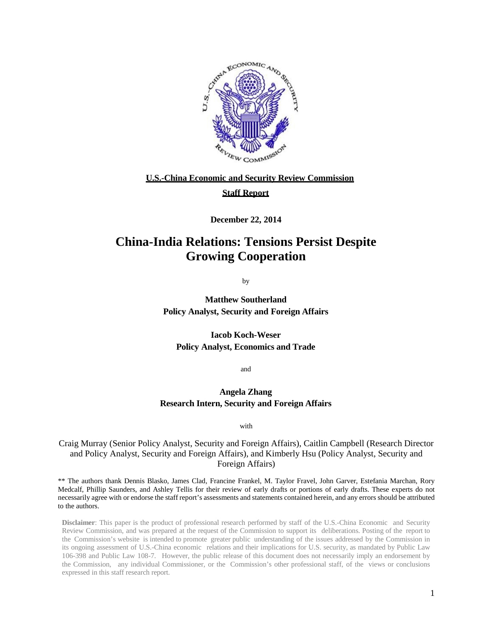

#### **U.S.-China Economic and Security Review Commission**

#### **Staff Report**

**December 22, 2014**

### **China-India Relations: Tensions Persist Despite Growing Cooperation**

by

**Matthew Southerland Policy Analyst, Security and Foreign Affairs**

**Iacob Koch-Weser Policy Analyst, Economics and Trade**

and

#### **Angela Zhang Research Intern, Security and Foreign Affairs**

with

Craig Murray (Senior Policy Analyst, Security and Foreign Affairs), Caitlin Campbell (Research Director and Policy Analyst, Security and Foreign Affairs), and Kimberly Hsu (Policy Analyst, Security and Foreign Affairs)

\*\* The authors thank Dennis Blasko, James Clad, Francine Frankel, M. Taylor Fravel, John Garver, Estefania Marchan, Rory Medcalf, Phillip Saunders, and Ashley Tellis for their review of early drafts or portions of early drafts. These experts do not necessarily agree with or endorse the staff report's assessments and statements contained herein, and any errors should be attributed to the authors.

**Disclaimer**: This paper is the product of professional research performed by staff of the U.S.-China Economic and Security Review Commission, and was prepared at the request of the Commission to support its deliberations. Posting of the report to the Commission's website is intended to promote greater public understanding of the issues addressed by the Commission in its ongoing assessment of U.S.-China economic relations and their implications for U.S. security, as mandated by Public Law 106-398 and Public Law 108-7. However, the public release of this document does not necessarily imply an endorsement by the Commission, any individual Commissioner, or the Commission's other professional staff, of the views or conclusions expressed in this staff research report.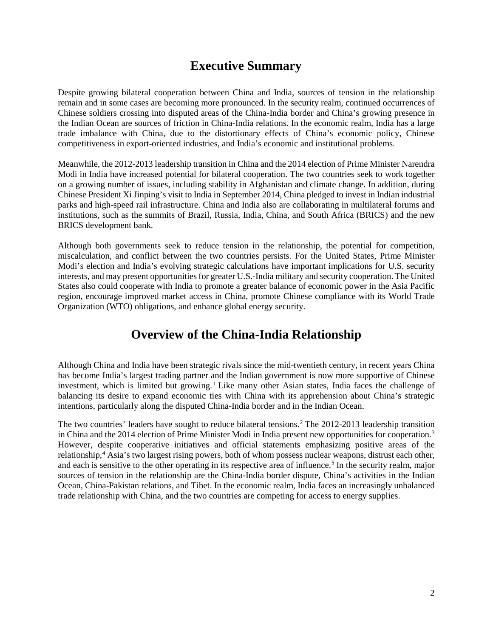## **Executive Summary**

Despite growing bilateral cooperation between China and India, sources of tension in the relationship remain and in some cases are becoming more pronounced. In the security realm, continued occurrences of Chinese soldiers crossing into disputed areas of the China-India border and China's growing presence in the Indian Ocean are sources of friction in China-India relations. In the economic realm, India has a large trade imbalance with China, due to the distortionary effects of China's economic policy, Chinese competitiveness in export-oriented industries, and India's economic and institutional problems.

Meanwhile, the 2012-2013 leadership transition in China and the 2014 election of Prime Minister Narendra Modi in India have increased potential for bilateral cooperation. The two countries seek to work together on a growing number of issues, including stability in Afghanistan and climate change. In addition, during Chinese President Xi Jinping's visit to India in September 2014, China pledged to invest in Indian industrial parks and high-speed rail infrastructure. China and India also are collaborating in multilateral forums and institutions, such as the summits of Brazil, Russia, India, China, and South Africa (BRICS) and the new BRICS development bank.

Although both governments seek to reduce tension in the relationship, the potential for competition, miscalculation, and conflict between the two countries persists. For the United States, Prime Minister Modi's election and India's evolving strategic calculations have important implications for U.S. security interests, and may present opportunities for greater U.S.-India military and security cooperation. The United States also could cooperate with India to promote a greater balance of economic power in the Asia Pacific region, encourage improved market access in China, promote Chinese compliance with its World Trade Organization (WTO) obligations, and enhance global energy security.

## **Overview of the China-India Relationship**

Although China and India have been strategic rivals since the mid-twentieth century, in recent years China has become India's largest trading partner and the Indian government is now more supportive of Chinese investment, which is limited but growing.<sup>[1](#page-19-0)</sup> Like many other Asian states, India faces the challenge of balancing its desire to expand economic ties with China with its apprehension about China's strategic intentions, particularly along the disputed China-India border and in the Indian Ocean.

The two countries' leaders have sought to reduce bilateral tensions. [2](#page-19-1) The 2012-2013 leadership transition in China and the 2014 election of Prime Minister Modi in India present new opportunities for cooperation.<sup>[3](#page-19-2)</sup> However, despite cooperative initiatives and official statements emphasizing positive areas of the relationship,<sup>[4](#page-19-3)</sup> Asia's two largest rising powers, both of whom possess nuclear weapons, distrust each other, and each is sensitive to the other operating in its respective area of influence.<sup>[5](#page-19-4)</sup> In the security realm, major sources of tension in the relationship are the China-India border dispute, China's activities in the Indian Ocean, China-Pakistan relations, and Tibet. In the economic realm, India faces an increasingly unbalanced trade relationship with China, and the two countries are competing for access to energy supplies.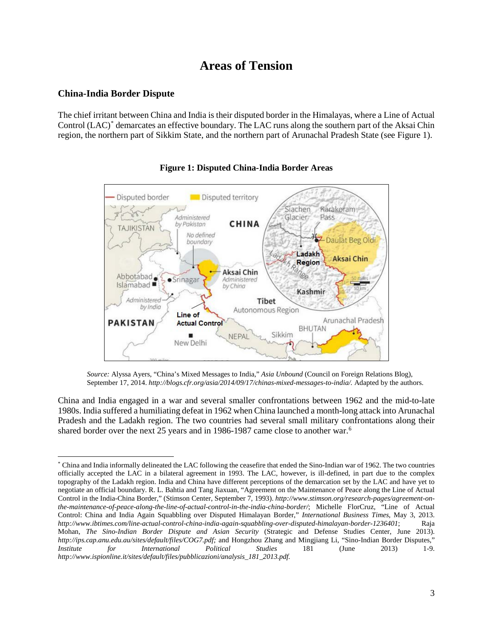## **Areas of Tension**

### **China-India Border Dispute**

The chief irritant between China and India is their disputed border in the Himalayas, where a Line of Actual Control (LAC)[\\*](#page-2-0) demarcates an effective boundary. The LAC runs along the southern part of the Aksai Chin region, the northern part of Sikkim State, and the northern part of Arunachal Pradesh State (see Figure 1).





*Source:* Alyssa Ayers, "China's Mixed Messages to India," *Asia Unbound* (Council on Foreign Relations Blog), September 17, 2014. *http://blogs.cfr.org/asia/2014/09/17/chinas-mixed-messages-to-india/.* Adapted by the authors.

China and India engaged in a war and several smaller confrontations between 1962 and the mid-to-late 1980s. India suffered a humiliating defeat in 1962 when China launched a month-long attack into Arunachal Pradesh and the Ladakh region. The two countries had several small military confrontations along their shared border over the next 25 years and in 198[6](#page-20-0)-1987 came close to another war.<sup>6</sup>

<span id="page-2-0"></span><sup>\*</sup> China and India informally delineated the LAC following the ceasefire that ended the Sino-Indian war of 1962. The two countries officially accepted the LAC in a bilateral agreement in 1993. The LAC, however, is ill-defined, in part due to the complex topography of the Ladakh region. India and China have different perceptions of the demarcation set by the LAC and have yet to negotiate an official boundary. R. L. Bahtia and Tang Jiaxuan, "Agreement on the Maintenance of Peace along the Line of Actual Control in the India-China Border," (Stimson Center, September 7, 1993). *http://www.stimson.org/research-pages/agreement-onthe-maintenance-of-peace-along-the-line-of-actual-control-in-the-india-china-border/*; Michelle FlorCruz, "Line of Actual Control: China and India Again Squabbling over Disputed Himalayan Border," *International Business Times*, May 3, 2013. *http://www.ibtimes.com/line-actual-control-china-india-again-squabbling-over-disputed-himalayan-border-1236401*; Raja Mohan, *The Sino-Indian Border Dispute and Asian Security* (Strategic and Defense Studies Center, June 2013). *http://ips.cap.anu.edu.au/sites/default/files/COG7.pdf;* and Hongzhou Zhang and Mingjiang Li, "Sino-Indian Border Disputes," *Institute for International Political Studies* 181 (June 2013) 1-9. *http://www.ispionline.it/sites/default/files/pubblicazioni/analysis\_181\_2013.pdf.*  $\overline{\phantom{a}}$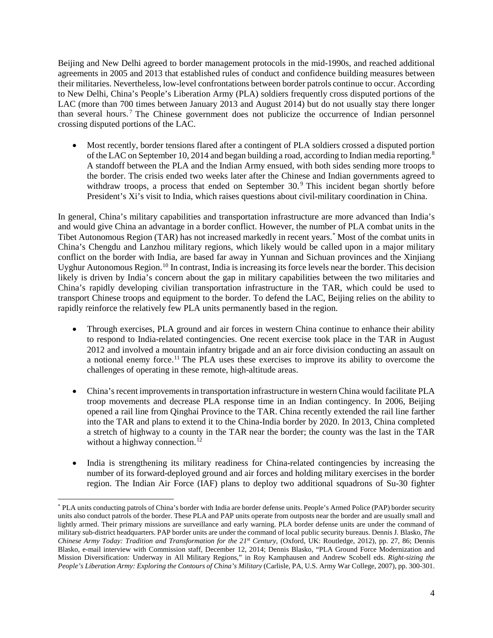Beijing and New Delhi agreed to border management protocols in the mid-1990s, and reached additional agreements in 2005 and 2013 that established rules of conduct and confidence building measures between their militaries. Nevertheless, low-level confrontations between border patrols continue to occur. According to New Delhi, China's People's Liberation Army (PLA) soldiers frequently cross disputed portions of the LAC (more than 700 times between January 2013 and August 2014) but do not usually stay there longer than several hours. [7](#page-21-0) The Chinese government does not publicize the occurrence of Indian personnel crossing disputed portions of the LAC.

• Most recently, border tensions flared after a contingent of PLA soldiers crossed a disputed portion of the LAC on September 10, 2014 and began building a road, according to Indian media reporting.<sup>[8](#page-21-1)</sup> A standoff between the PLA and the Indian Army ensued, with both sides sending more troops to the border. The crisis ended two weeks later after the Chinese and Indian governments agreed to withdraw troops, a process that ended on September 30.<sup>[9](#page-21-2)</sup> This incident began shortly before President's Xi's visit to India, which raises questions about civil-military coordination in China.

In general, China's military capabilities and transportation infrastructure are more advanced than India's and would give China an advantage in a border conflict. However, the number of PLA combat units in the Tibet Autonomous Region (TAR) has not increased markedly in recent years. [\\*](#page-3-0) Most of the combat units in China's Chengdu and Lanzhou military regions, which likely would be called upon in a major military conflict on the border with India, are based far away in Yunnan and Sichuan provinces and the Xinjiang Uyghur Autonomous Region. [10](#page-21-3) In contrast, India is increasing its force levels near the border. This decision likely is driven by India's concern about the gap in military capabilities between the two militaries and China's rapidly developing civilian transportation infrastructure in the TAR, which could be used to transport Chinese troops and equipment to the border. To defend the LAC, Beijing relies on the ability to rapidly reinforce the relatively few PLA units permanently based in the region.

- Through exercises, PLA ground and air forces in western China continue to enhance their ability to respond to India-related contingencies. One recent exercise took place in the TAR in August 2012 and involved a mountain infantry brigade and an air force division conducting an assault on a notional enemy force.<sup>[11](#page-21-4)</sup> The PLA uses these exercises to improve its ability to overcome the challenges of operating in these remote, high-altitude areas.
- China's recent improvements in transportation infrastructure in western China would facilitate PLA troop movements and decrease PLA response time in an Indian contingency. In 2006, Beijing opened a rail line from Qinghai Province to the TAR. China recently extended the rail line farther into the TAR and plans to extend it to the China-India border by 2020. In 2013, China completed a stretch of highway to a county in the TAR near the border; the county was the last in the TAR without a highway connection.<sup>[12](#page-21-5)</sup>
- India is strengthening its military readiness for China-related contingencies by increasing the number of its forward-deployed ground and air forces and holding military exercises in the border region. The Indian Air Force (IAF) plans to deploy two additional squadrons of Su-30 fighter

l

<span id="page-3-0"></span><sup>\*</sup> PLA units conducting patrols of China's border with India are border defense units. People's Armed Police (PAP) border security units also conduct patrols of the border. These PLA and PAP units operate from outposts near the border and are usually small and lightly armed. Their primary missions are surveillance and early warning. PLA border defense units are under the command of military sub-district headquarters. PAP border units are under the command of local public security bureaus. Dennis J. Blasko, *The Chinese Army Today: Tradition and Transformation for the 21st Century*, (Oxford, UK: Routledge, 2012), pp. 27, 86; Dennis Blasko, e-mail interview with Commission staff, December 12, 2014; Dennis Blasko, "PLA Ground Force Modernization and Mission Diversification: Underway in All Military Regions," in Roy Kamphausen and Andrew Scobell eds. *Right-sizing the People's Liberation Army: Exploring the Contours of China's Military* (Carlisle, PA, U.S. Army War College, 2007), pp. 300-301.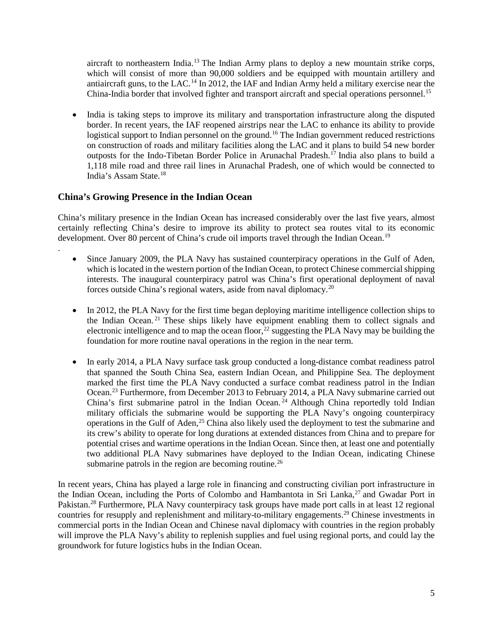aircraft to northeastern India.<sup>[13](#page-22-0)</sup> The Indian Army plans to deploy a new mountain strike corps, which will consist of more than 90,000 soldiers and be equipped with mountain artillery and antiaircraft guns, to the LAC.<sup>[14](#page-22-1)</sup> In 2012, the IAF and Indian Army held a military exercise near the China-India border that involved fighter and transport aircraft and special operations personnel.<sup>[15](#page-22-2)</sup>

• India is taking steps to improve its military and transportation infrastructure along the disputed border. In recent years, the IAF reopened airstrips near the LAC to enhance its ability to provide logistical support to Indian personnel on the ground.<sup>[16](#page-22-3)</sup> The Indian government reduced restrictions on construction of roads and military facilities along the LAC and it plans to build 54 new border outposts for the Indo-Tibetan Border Police in Arunachal Pradesh.<sup>[17](#page-22-4)</sup> India also plans to build a 1,118 mile road and three rail lines in Arunachal Pradesh, one of which would be connected to India's Assam State. [18](#page-22-5)

#### **China's Growing Presence in the Indian Ocean**

.

China's military presence in the Indian Ocean has increased considerably over the last five years, almost certainly reflecting China's desire to improve its ability to protect sea routes vital to its economic development. Over 80 percent of China's crude oil imports travel through the Indian Ocean.<sup>[19](#page-22-6)</sup>

- Since January 2009, the PLA Navy has sustained counterpiracy operations in the Gulf of Aden, which is located in the western portion of the Indian Ocean, to protect Chinese commercial shipping interests. The inaugural counterpiracy patrol was China's first operational deployment of naval forces outside China's regional waters, aside from naval diplomacy.<sup>[20](#page-22-7)</sup>
- In 2012, the PLA Navy for the first time began deploying maritime intelligence collection ships to the Indian Ocean. [21](#page-22-8) These ships likely have equipment enabling them to collect signals and electronic intelligence and to map the ocean floor,<sup>[22](#page-22-9)</sup> suggesting the PLA Navy may be building the foundation for more routine naval operations in the region in the near term.
- In early 2014, a PLA Navy surface task group conducted a long-distance combat readiness patrol that spanned the South China Sea, eastern Indian Ocean, and Philippine Sea. The deployment marked the first time the PLA Navy conducted a surface combat readiness patrol in the Indian Ocean.<sup>[23](#page-22-10)</sup> Furthermore, from December 2013 to February 2014, a PLA Navy submarine carried out China's first submarine patrol in the Indian Ocean.<sup>[24](#page-22-11)</sup> Although China reportedly told Indian military officials the submarine would be supporting the PLA Navy's ongoing counterpiracy operations in the Gulf of Aden, $^{25}$  $^{25}$  $^{25}$  China also likely used the deployment to test the submarine and its crew's ability to operate for long durations at extended distances from China and to prepare for potential crises and wartime operations in the Indian Ocean. Since then, at least one and potentially two additional PLA Navy submarines have deployed to the Indian Ocean, indicating Chinese submarine patrols in the region are becoming routine.<sup>[26](#page-22-13)</sup>

In recent years, China has played a large role in financing and constructing civilian port infrastructure in the Indian Ocean, including the Ports of Colombo and Hambantota in Sri Lanka,<sup>[27](#page-22-14)</sup> and Gwadar Port in Pakistan.<sup>[28](#page-22-15)</sup> Furthermore, PLA Navy counterpiracy task groups have made port calls in at least 12 regional countries for resupply and replenishment and military-to-military engagements.[29](#page-22-16) Chinese investments in commercial ports in the Indian Ocean and Chinese naval diplomacy with countries in the region probably will improve the PLA Navy's ability to replenish supplies and fuel using regional ports, and could lay the groundwork for future logistics hubs in the Indian Ocean.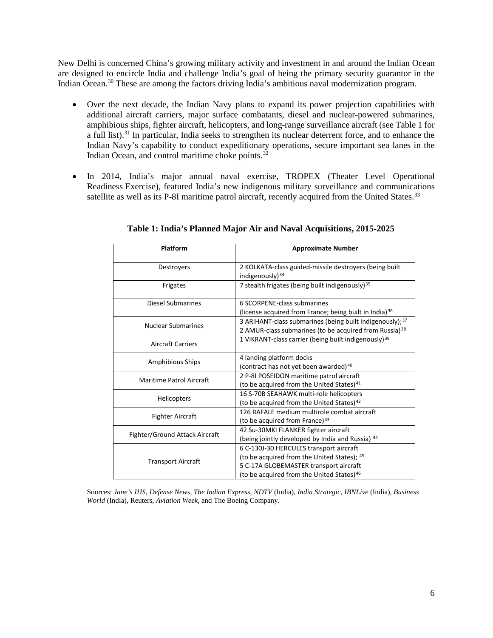New Delhi is concerned China's growing military activity and investment in and around the Indian Ocean are designed to encircle India and challenge India's goal of being the primary security guarantor in the Indian Ocean.<sup>[30](#page-23-0)</sup> These are among the factors driving India's ambitious naval modernization program.

- Over the next decade, the Indian Navy plans to expand its power projection capabilities with additional aircraft carriers, major surface combatants, diesel and nuclear-powered submarines, amphibious ships, fighter aircraft, helicopters, and long-range surveillance aircraft (see Table 1 for a full list).<sup>[31](#page-23-1)</sup> In particular, India seeks to strengthen its nuclear deterrent force, and to enhance the Indian Navy's capability to conduct expeditionary operations, secure important sea lanes in the Indian Ocean, and control maritime choke points.[32](#page-23-2)
- In 2014, India's major annual naval exercise, TROPEX (Theater Level Operational Readiness Exercise), featured India's new indigenous military surveillance and communications satellite as well as its P-8I maritime patrol aircraft, recently acquired from the United States.<sup>[33](#page-23-3)</sup>

| <b>Platform</b>                 | <b>Approximate Number</b>                                            |  |  |  |  |
|---------------------------------|----------------------------------------------------------------------|--|--|--|--|
| Destroyers                      | 2 KOLKATA-class guided-missile destroyers (being built               |  |  |  |  |
|                                 | indigenously $34$                                                    |  |  |  |  |
| Frigates                        | 7 stealth frigates (being built indigenously) <sup>35</sup>          |  |  |  |  |
| Diesel Submarines               | 6 SCORPENE-class submarines                                          |  |  |  |  |
|                                 | (license acquired from France; being built in India) <sup>36</sup>   |  |  |  |  |
| <b>Nuclear Submarines</b>       | 3 ARIHANT-class submarines (being built indigenously); <sup>37</sup> |  |  |  |  |
|                                 | 2 AMUR-class submarines (to be acquired from Russia) <sup>38</sup>   |  |  |  |  |
| <b>Aircraft Carriers</b>        | 1 VIKRANT-class carrier (being built indigenously) <sup>39</sup>     |  |  |  |  |
|                                 | 4 landing platform docks                                             |  |  |  |  |
| <b>Amphibious Ships</b>         | (contract has not yet been awarded) <sup>40</sup>                    |  |  |  |  |
| <b>Maritime Patrol Aircraft</b> | 2 P-8I POSEIDON maritime patrol aircraft                             |  |  |  |  |
|                                 | (to be acquired from the United States) <sup>41</sup>                |  |  |  |  |
| <b>Helicopters</b>              | 16 S-70B SEAHAWK multi-role helicopters                              |  |  |  |  |
|                                 | (to be acquired from the United States) <sup>42</sup>                |  |  |  |  |
| <b>Fighter Aircraft</b>         | 126 RAFALE medium multirole combat aircraft                          |  |  |  |  |
|                                 | (to be acquired from France) <sup>43</sup>                           |  |  |  |  |
| Fighter/Ground Attack Aircraft  | 42 Su-30MKI FLANKER fighter aircraft                                 |  |  |  |  |
|                                 | (being jointly developed by India and Russia) 44                     |  |  |  |  |
|                                 | 6 C-130J-30 HERCULES transport aircraft                              |  |  |  |  |
| <b>Transport Aircraft</b>       | (to be acquired from the United States); 45                          |  |  |  |  |
|                                 | 5 C-17A GLOBEMASTER transport aircraft                               |  |  |  |  |
|                                 | (to be acquired from the United States) <sup>46</sup>                |  |  |  |  |

**Table 1: India's Planned Major Air and Naval Acquisitions, 2015-2025**

Sources: *Jane's IHS*, *Defense News*, *The Indian Express*, *NDTV* (India), *India Strategic*, *IBNLive* (India), *Business World* (India), Reuters, *Aviation Week*, and The Boeing Company.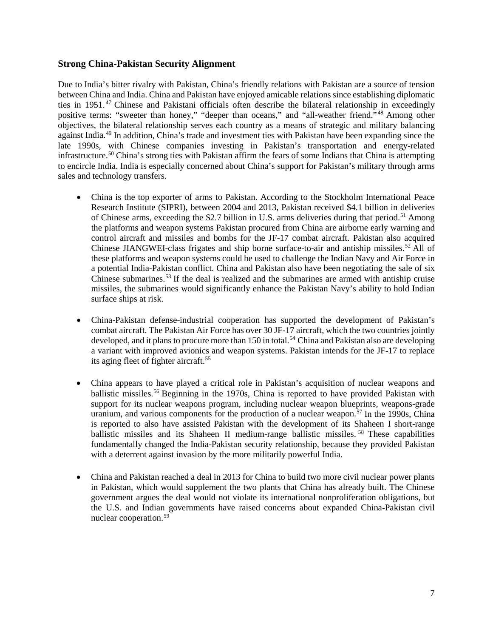#### **Strong China-Pakistan Security Alignment**

Due to India's bitter rivalry with Pakistan, China's friendly relations with Pakistan are a source of tension between China and India. China and Pakistan have enjoyed amicable relations since establishing diplomatic ties in 1951. [47](#page-24-0) Chinese and Pakistani officials often describe the bilateral relationship in exceedingly positive terms: "sweeter than honey," "deeper than oceans," and "all-weather friend."<sup>[48](#page-24-1)</sup> Among other objectives, the bilateral relationship serves each country as a means of strategic and military balancing against India.[49](#page-24-2) In addition, China's trade and investment ties with Pakistan have been expanding since the late 1990s, with Chinese companies investing in Pakistan's transportation and energy-related infrastructure.[50](#page-24-3) China's strong ties with Pakistan affirm the fears of some Indians that China is attempting to encircle India. India is especially concerned about China's support for Pakistan's military through arms sales and technology transfers.

- China is the top exporter of arms to Pakistan. According to the Stockholm International Peace Research Institute (SIPRI), between 2004 and 2013, Pakistan received \$4.1 billion in deliveries of Chinese arms, exceeding the \$2.7 billion in U.S. arms deliveries during that period.<sup>[51](#page-24-4)</sup> Among the platforms and weapon systems Pakistan procured from China are airborne early warning and control aircraft and missiles and bombs for the JF-17 combat aircraft. Pakistan also acquired Chinese JIANGWEI-class frigates and ship borne surface-to-air and antiship missiles.<sup>[52](#page-24-5)</sup> All of these platforms and weapon systems could be used to challenge the Indian Navy and Air Force in a potential India-Pakistan conflict. China and Pakistan also have been negotiating the sale of six Chinese submarines.[53](#page-24-6) If the deal is realized and the submarines are armed with antiship cruise missiles, the submarines would significantly enhance the Pakistan Navy's ability to hold Indian surface ships at risk.
- China-Pakistan defense-industrial cooperation has supported the development of Pakistan's combat aircraft. The Pakistan Air Force has over 30 JF-17 aircraft, which the two countries jointly developed, and it plans to procure more than 150 in total.<sup>[54](#page-24-7)</sup> China and Pakistan also are developing a variant with improved avionics and weapon systems. Pakistan intends for the JF-17 to replace its aging fleet of fighter aircraft.<sup>55</sup>
- China appears to have played a critical role in Pakistan's acquisition of nuclear weapons and ballistic missiles. [56](#page-24-9) Beginning in the 1970s, China is reported to have provided Pakistan with support for its nuclear weapons program, including nuclear weapon blueprints, weapons-grade uranium, and various components for the production of a nuclear weapon.<sup> $57$ </sup> In the 1990s, China is reported to also have assisted Pakistan with the development of its Shaheen I short-range ballistic missiles and its Shaheen II medium-range ballistic missiles. [58](#page-24-11) These capabilities fundamentally changed the India-Pakistan security relationship, because they provided Pakistan with a deterrent against invasion by the more militarily powerful India.
- China and Pakistan reached a deal in 2013 for China to build two more civil nuclear power plants in Pakistan, which would supplement the two plants that China has already built. The Chinese government argues the deal would not violate its international nonproliferation obligations, but the U.S. and Indian governments have raised concerns about expanded China-Pakistan civil nuclear cooperation. [59](#page-24-12)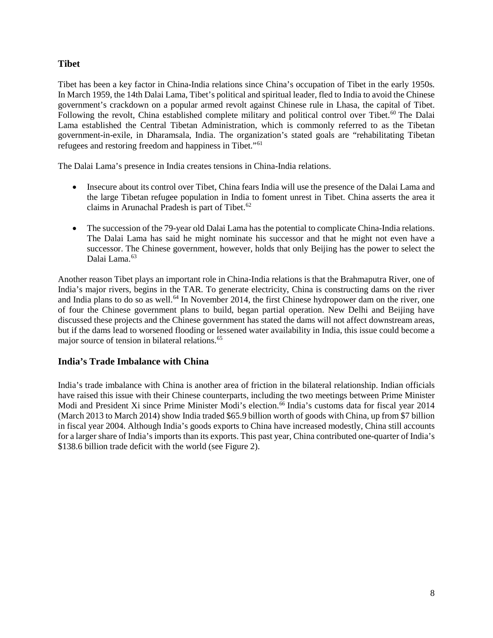### **Tibet**

Tibet has been a key factor in China-India relations since China's occupation of Tibet in the early 1950s. In March 1959, the 14th Dalai Lama, Tibet's political and spiritual leader, fled to India to avoid the Chinese government's crackdown on a popular armed revolt against Chinese rule in Lhasa, the capital of Tibet. Following the revolt, China established complete military and political control over Tibet.<sup>[60](#page-24-13)</sup> The Dalai Lama established the Central Tibetan Administration, which is commonly referred to as the Tibetan government-in-exile, in Dharamsala, India. The organization's stated goals are "rehabilitating Tibetan refugees and restoring freedom and happiness in Tibet."[61](#page-24-14)

The Dalai Lama's presence in India creates tensions in China-India relations.

- Insecure about its control over Tibet, China fears India will use the presence of the Dalai Lama and the large Tibetan refugee population in India to foment unrest in Tibet. China asserts the area it claims in Arunachal Pradesh is part of Tibet. $62$
- The succession of the 79-year old Dalai Lama has the potential to complicate China-India relations. The Dalai Lama has said he might nominate his successor and that he might not even have a successor. The Chinese government, however, holds that only Beijing has the power to select the Dalai Lama. [63](#page-24-16)

Another reason Tibet plays an important role in China-India relations is that the Brahmaputra River, one of India's major rivers, begins in the TAR. To generate electricity, China is constructing dams on the river and India plans to do so as well.<sup>[64](#page-24-17)</sup> In November 2014, the first Chinese hydropower dam on the river, one of four the Chinese government plans to build, began partial operation. New Delhi and Beijing have discussed these projects and the Chinese government has stated the dams will not affect downstream areas, but if the dams lead to worsened flooding or lessened water availability in India, this issue could become a major source of tension in bilateral relations. [65](#page-24-18)

#### **India's Trade Imbalance with China**

India's trade imbalance with China is another area of friction in the bilateral relationship. Indian officials have raised this issue with their Chinese counterparts, including the two meetings between Prime Minister Modi and President Xi since Prime Minister Modi's election.<sup>[66](#page-24-19)</sup> India's customs data for fiscal year 2014 (March 2013 to March 2014) show India traded \$65.9 billion worth of goods with China, up from \$7 billion in fiscal year 2004. Although India's goods exports to China have increased modestly, China still accounts for a larger share of India's imports than its exports. This past year, China contributed one-quarter of India's \$138.6 billion trade deficit with the world (see Figure 2).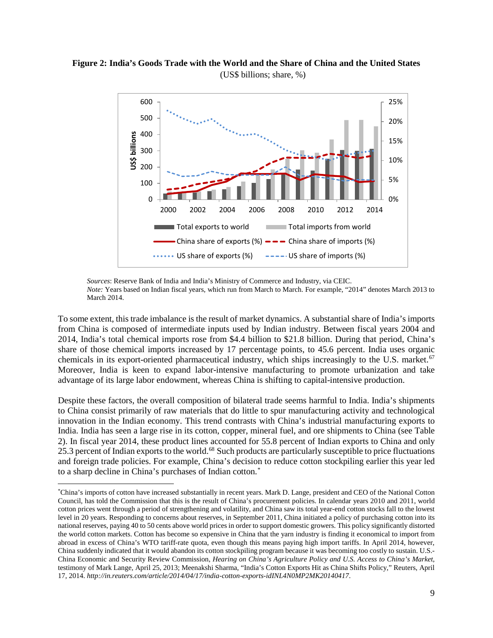#### **Figure 2: India's Goods Trade with the World and the Share of China and the United States** (US\$ billions; share, %)



*Sources*: Reserve Bank of India and India's Ministry of Commerce and Industry, via CEIC. *Note:* Years based on Indian fiscal years, which run from March to March. For example, "2014" denotes March 2013 to March 2014.

To some extent, this trade imbalance is the result of market dynamics. A substantial share of India's imports from China is composed of intermediate inputs used by Indian industry. Between fiscal years 2004 and 2014, India's total chemical imports rose from \$4.4 billion to \$21.8 billion. During that period, China's share of those chemical imports increased by 17 percentage points, to 45.6 percent. India uses organic chemicals in its export-oriented pharmaceutical industry, which ships increasingly to the U.S. market.<sup>[67](#page-24-20)</sup> Moreover, India is keen to expand labor-intensive manufacturing to promote urbanization and take advantage of its large labor endowment, whereas China is shifting to capital-intensive production.

Despite these factors, the overall composition of bilateral trade seems harmful to India. India's shipments to China consist primarily of raw materials that do little to spur manufacturing activity and technological innovation in the Indian economy. This trend contrasts with China's industrial manufacturing exports to India. India has seen a large rise in its cotton, copper, mineral fuel, and ore shipments to China (see Table 2). In fiscal year 2014, these product lines accounted for 55.8 percent of Indian exports to China and only 25.3 percent of Indian exports to the world.<sup>[68](#page-24-21)</sup> Such products are particularly susceptible to price fluctuations and foreign trade policies. For example, China's decision to reduce cotton stockpiling earlier this year led to a sharp decline in China's purchases of Indian cotton.[\\*](#page-8-0)

l

<span id="page-8-0"></span><sup>\*</sup> China's imports of cotton have increased substantially in recent years. Mark D. Lange, president and CEO of the National Cotton Council, has told the Commission that this is the result of China's procurement policies. In calendar years 2010 and 2011, world cotton prices went through a period of strengthening and volatility, and China saw its total year-end cotton stocks fall to the lowest level in 20 years. Responding to concerns about reserves, in September 2011, China initiated a policy of purchasing cotton into its national reserves, paying 40 to 50 cents above world prices in order to support domestic growers. This policy significantly distorted the world cotton markets. Cotton has become so expensive in China that the yarn industry is finding it economical to import from abroad in excess of China's WTO tariff-rate quota, even though this means paying high import tariffs. In April 2014, however, China suddenly indicated that it would abandon its cotton stockpiling program because it was becoming too costly to sustain. U.S.- China Economic and Security Review Commission, *Hearing on China's Agriculture Policy and U.S. Access to China's Market*, testimony of Mark Lange, April 25, 2013; Meenakshi Sharma, "India's Cotton Exports Hit as China Shifts Policy," Reuters, April 17, 2014. *http://in.reuters.com/article/2014/04/17/india-cotton-exports-idINL4N0MP2MK20140417*.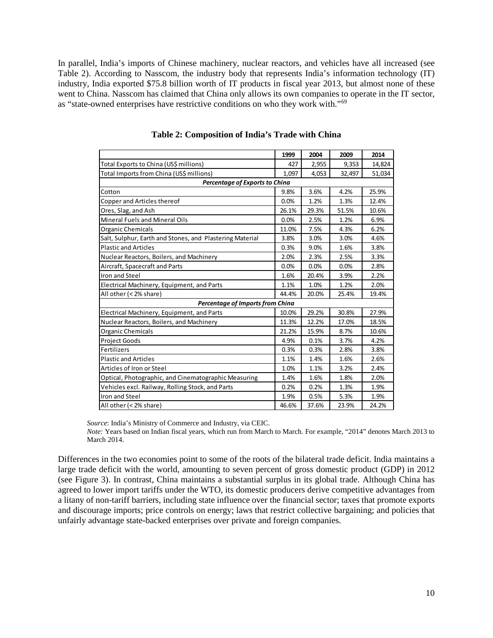In parallel, India's imports of Chinese machinery, nuclear reactors, and vehicles have all increased (see Table 2). According to Nasscom, the industry body that represents India's information technology (IT) industry, India exported \$75.8 billion worth of IT products in fiscal year 2013, but almost none of these went to China. Nasscom has claimed that China only allows its own companies to operate in the IT sector, as "state-owned enterprises have restrictive conditions on who they work with."[69](#page-24-22)

|                                                          | 1999  | 2004  | 2009   | 2014   |  |  |  |
|----------------------------------------------------------|-------|-------|--------|--------|--|--|--|
| Total Exports to China (US\$ millions)                   | 427   | 2,955 | 9,353  | 14,824 |  |  |  |
| Total Imports from China (US\$ millions)                 | 1.097 | 4,053 | 32,497 | 51,034 |  |  |  |
| Percentage of Exports to China                           |       |       |        |        |  |  |  |
| Cotton                                                   | 9.8%  | 3.6%  | 4.2%   | 25.9%  |  |  |  |
| Copper and Articles thereof                              | 0.0%  | 1.2%  | 1.3%   | 12.4%  |  |  |  |
| Ores, Slag, and Ash                                      | 26.1% | 29.3% | 51.5%  | 10.6%  |  |  |  |
| Mineral Fuels and Mineral Oils                           | 0.0%  | 2.5%  | 1.2%   | 6.9%   |  |  |  |
| Organic Chemicals                                        | 11.0% | 7.5%  | 4.3%   | 6.2%   |  |  |  |
| Salt, Sulphur, Earth and Stones, and Plastering Material | 3.8%  | 3.0%  | 3.0%   | 4.6%   |  |  |  |
| <b>Plastic and Articles</b>                              | 0.3%  | 9.0%  | 1.6%   | 3.8%   |  |  |  |
| Nuclear Reactors, Boilers, and Machinery                 | 2.0%  | 2.3%  | 2.5%   | 3.3%   |  |  |  |
| Aircraft, Spacecraft and Parts                           | 0.0%  | 0.0%  | 0.0%   | 2.8%   |  |  |  |
| Iron and Steel                                           | 1.6%  | 20.4% | 3.9%   | 2.2%   |  |  |  |
| Electrical Machinery, Equipment, and Parts               | 1.1%  | 1.0%  | 1.2%   | 2.0%   |  |  |  |
| All other (< 2% share)                                   | 44.4% | 20.0% | 25.4%  | 19.4%  |  |  |  |
| Percentage of Imports from China                         |       |       |        |        |  |  |  |
| Electrical Machinery, Equipment, and Parts               | 10.0% | 29.2% | 30.8%  | 27.9%  |  |  |  |
| Nuclear Reactors, Boilers, and Machinery                 | 11.3% | 12.2% | 17.0%  | 18.5%  |  |  |  |
| Organic Chemicals                                        | 21.2% | 15.9% | 8.7%   | 10.6%  |  |  |  |
| <b>Project Goods</b>                                     | 4.9%  | 0.1%  | 3.7%   | 4.2%   |  |  |  |
| Fertilizers                                              | 0.3%  | 0.3%  | 2.8%   | 3.8%   |  |  |  |
| <b>Plastic and Articles</b>                              | 1.1%  | 1.4%  | 1.6%   | 2.6%   |  |  |  |
| Articles of Iron or Steel                                | 1.0%  | 1.1%  | 3.2%   | 2.4%   |  |  |  |
| Optical, Photographic, and Cinematographic Measuring     | 1.4%  | 1.6%  | 1.8%   | 2.0%   |  |  |  |
| Vehicles excl. Railway, Rolling Stock, and Parts         | 0.2%  | 0.2%  | 1.3%   | 1.9%   |  |  |  |
| Iron and Steel                                           | 1.9%  | 0.5%  | 5.3%   | 1.9%   |  |  |  |
| All other (< 2% share)                                   | 46.6% | 37.6% | 23.9%  | 24.2%  |  |  |  |

**Table 2: Composition of India's Trade with China**

*Source*: India's Ministry of Commerce and Industry, via CEIC.

*Note:* Years based on Indian fiscal years, which run from March to March. For example, "2014" denotes March 2013 to March 2014.

Differences in the two economies point to some of the roots of the bilateral trade deficit. India maintains a large trade deficit with the world, amounting to seven percent of gross domestic product (GDP) in 2012 (see Figure 3). In contrast, China maintains a substantial surplus in its global trade. Although China has agreed to lower import tariffs under the WTO, its domestic producers derive competitive advantages from a litany of non-tariff barriers, including state influence over the financial sector; taxes that promote exports and discourage imports; price controls on energy; laws that restrict collective bargaining; and policies that unfairly advantage state-backed enterprises over private and foreign companies.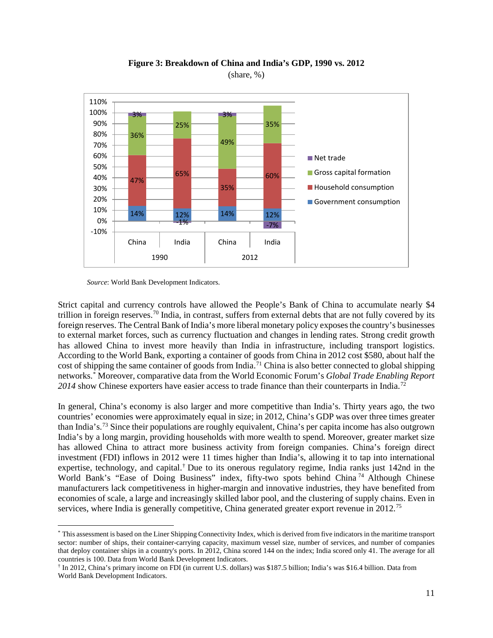

**Figure 3: Breakdown of China and India's GDP, 1990 vs. 2012** (share, %)

*Source*: World Bank Development Indicators.

l

Strict capital and currency controls have allowed the People's Bank of China to accumulate nearly \$4 trillion in foreign reserves.<sup>[70](#page-24-23)</sup> India, in contrast, suffers from external debts that are not fully covered by its foreign reserves. The Central Bank of India's more liberal monetary policy exposes the country's businesses to external market forces, such as currency fluctuation and changes in lending rates. Strong credit growth has allowed China to invest more heavily than India in infrastructure, including transport logistics. According to the World Bank, exporting a container of goods from China in 2012 cost \$580, about half the cost of shipping the same container of goods from India.<sup>[71](#page-24-24)</sup> China is also better connected to global shipping networks.[\\*](#page-10-0) Moreover, comparative data from the World Economic Forum's *Global Trade Enabling Report 2014* show Chinese exporters have easier access to trade finance than their counterparts in India.[72](#page-24-25)

In general, China's economy is also larger and more competitive than India's. Thirty years ago, the two countries' economies were approximately equal in size; in 2012, China's GDP was over three times greater than India's. [73](#page-24-26) Since their populations are roughly equivalent, China's per capita income has also outgrown India's by a long margin, providing households with more wealth to spend. Moreover, greater market size has allowed China to attract more business activity from foreign companies. China's foreign direct investment (FDI) inflows in 2012 were 11 times higher than India's, allowing it to tap into international expertise, technology, and capital.[†](#page-10-1) Due to its onerous regulatory regime, India ranks just 142nd in the World Bank's "Ease of Doing Business" index, fifty-two spots behind China<sup>[74](#page-24-27)</sup> Although Chinese manufacturers lack competitiveness in higher-margin and innovative industries, they have benefited from economies of scale, a large and increasingly skilled labor pool, and the clustering of supply chains. Even in services, where India is generally competitive, China generated greater export revenue in  $2012$ .<sup>[75](#page-24-28)</sup>

<span id="page-10-0"></span><sup>\*</sup> This assessment is based on the Liner Shipping Connectivity Index, which is derived from five indicators in the maritime transport sector: number of ships, their container-carrying capacity, maximum vessel size, number of services, and number of companies that deploy container ships in a country's ports. In 2012, China scored 144 on the index; India scored only 41. The average for all countries is 100. Data from World Bank Development Indicators.

<span id="page-10-1"></span><sup>†</sup> In 2012, China's primary income on FDI (in current U.S. dollars) was \$187.5 billion; India's was \$16.4 billion. Data from World Bank Development Indicators.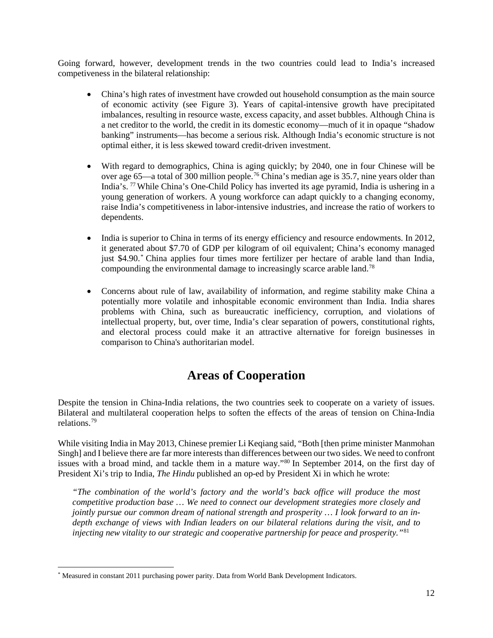Going forward, however, development trends in the two countries could lead to India's increased competiveness in the bilateral relationship:

- China's high rates of investment have crowded out household consumption as the main source of economic activity (see Figure 3). Years of capital-intensive growth have precipitated imbalances, resulting in resource waste, excess capacity, and asset bubbles. Although China is a net creditor to the world, the credit in its domestic economy—much of it in opaque "shadow banking" instruments—has become a serious risk. Although India's economic structure is not optimal either, it is less skewed toward credit-driven investment.
- With regard to demographics, China is aging quickly; by 2040, one in four Chinese will be over age 65—a total of 300 million people.<sup>[76](#page-24-29)</sup> China's median age is 35.7, nine years older than India's. [77](#page-24-30) While China's One-Child Policy has inverted its age pyramid, India is ushering in a young generation of workers. A young workforce can adapt quickly to a changing economy, raise India's competitiveness in labor-intensive industries, and increase the ratio of workers to dependents.
- India is superior to China in terms of its energy efficiency and resource endowments. In 2012, it generated about \$7.70 of GDP per kilogram of oil equivalent; China's economy managed just \$4.90.[\\*](#page-11-0) China applies four times more fertilizer per hectare of arable land than India, compounding the environmental damage to increasingly scarce arable land[.78](#page-24-31)
- Concerns about rule of law, availability of information, and regime stability make China a potentially more volatile and inhospitable economic environment than India. India shares problems with China, such as bureaucratic inefficiency, corruption, and violations of intellectual property, but, over time, India's clear separation of powers, constitutional rights, and electoral process could make it an attractive alternative for foreign businesses in comparison to China's authoritarian model.

## **Areas of Cooperation**

Despite the tension in China-India relations, the two countries seek to cooperate on a variety of issues. Bilateral and multilateral cooperation helps to soften the effects of the areas of tension on China-India relations.[79](#page-24-32)

While visiting India in May 2013, Chinese premier Li Keqiang said, "Both [then prime minister Manmohan Singh] and I believe there are far more interests than differences between our two sides. We need to confront issues with a broad mind, and tackle them in a mature way."[80](#page-24-33) In September 2014, on the first day of President Xi's trip to India, *The Hindu* published an op-ed by President Xi in which he wrote:

*"The combination of the world's factory and the world's back office will produce the most competitive production base … We need to connect our development strategies more closely and jointly pursue our common dream of national strength and prosperity … I look forward to an indepth exchange of views with Indian leaders on our bilateral relations during the visit, and to injecting new vitality to our strategic and cooperative partnership for peace and prosperity."*[81](#page-24-34)

<span id="page-11-0"></span><sup>\*</sup> Measured in constant 2011 purchasing power parity. Data from World Bank Development Indicators. l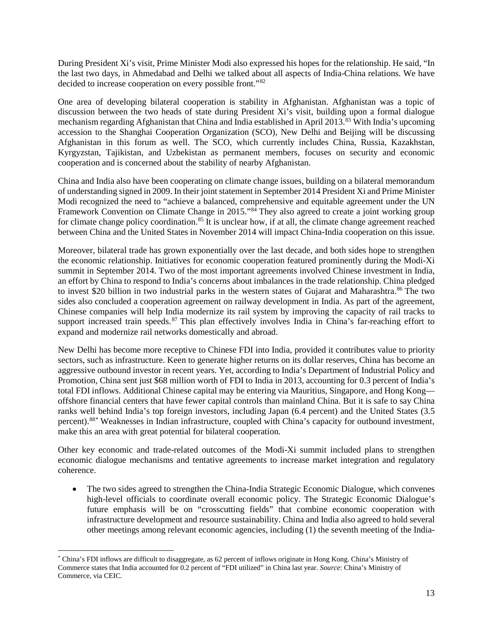During President Xi's visit, Prime Minister Modi also expressed his hopes for the relationship. He said, "In the last two days, in Ahmedabad and Delhi we talked about all aspects of India-China relations. We have decided to increase cooperation on every possible front."[82](#page-24-3)

One area of developing bilateral cooperation is stability in Afghanistan. Afghanistan was a topic of discussion between the two heads of state during President Xi's visit, building upon a formal dialogue mechanism regarding Afghanistan that China and India established in April 2013.[83](#page-24-35) With India's upcoming accession to the Shanghai Cooperation Organization (SCO), New Delhi and Beijing will be discussing Afghanistan in this forum as well. The SCO, which currently includes China, Russia, Kazakhstan, Kyrgyzstan, Tajikistan, and Uzbekistan as permanent members, focuses on security and economic cooperation and is concerned about the stability of nearby Afghanistan.

China and India also have been cooperating on climate change issues, building on a bilateral memorandum of understanding signed in 2009. In their joint statement in September 2014 President Xi and Prime Minister Modi recognized the need to "achieve a balanced, comprehensive and equitable agreement under the UN Framework Convention on Climate Change in 2015."<sup>[84](#page-24-36)</sup> They also agreed to create a joint working group for climate change policy coordination.<sup>[85](#page-24-37)</sup> It is unclear how, if at all, the climate change agreement reached between China and the United States in November 2014 will impact China-India cooperation on this issue.

Moreover, bilateral trade has grown exponentially over the last decade, and both sides hope to strengthen the economic relationship. Initiatives for economic cooperation featured prominently during the Modi-Xi summit in September 2014. Two of the most important agreements involved Chinese investment in India, an effort by China to respond to India's concerns about imbalances in the trade relationship. China pledged to invest \$20 billion in two industrial parks in the western states of Gujarat and Maharashtra.<sup>[86](#page-24-8)</sup> The two sides also concluded a cooperation agreement on railway development in India. As part of the agreement, Chinese companies will help India modernize its rail system by improving the capacity of rail tracks to support increased train speeds.<sup>[87](#page-24-10)</sup> This plan effectively involves India in China's far-reaching effort to expand and modernize rail networks domestically and abroad.

New Delhi has become more receptive to Chinese FDI into India, provided it contributes value to priority sectors, such as infrastructure. Keen to generate higher returns on its dollar reserves, China has become an aggressive outbound investor in recent years. Yet, according to India's Department of Industrial Policy and Promotion, China sent just \$68 million worth of FDI to India in 2013, accounting for 0.3 percent of India's total FDI inflows. Additional Chinese capital may be entering via Mauritius, Singapore, and Hong Kong offshore financial centers that have fewer capital controls than mainland China. But it is safe to say China ranks well behind India's top foreign investors, including Japan (6.4 percent) and the United States (3.5 percent). [88](#page-24-11)[\\*](#page-12-0) Weaknesses in Indian infrastructure, coupled with China's capacity for outbound investment, make this an area with great potential for bilateral cooperation.

Other key economic and trade-related outcomes of the Modi-Xi summit included plans to strengthen economic dialogue mechanisms and tentative agreements to increase market integration and regulatory coherence.

• The two sides agreed to strengthen the China-India Strategic Economic Dialogue, which convenes high-level officials to coordinate overall economic policy. The Strategic Economic Dialogue's future emphasis will be on "crosscutting fields" that combine economic cooperation with infrastructure development and resource sustainability. China and India also agreed to hold several other meetings among relevant economic agencies, including (1) the seventh meeting of the India-

<span id="page-12-0"></span><sup>\*</sup> China's FDI inflows are difficult to disaggregate, as 62 percent of inflows originate in Hong Kong. China's Ministry of Commerce states that India accounted for 0.2 percent of "FDI utilized" in China last year. *Source*: China's Ministry of Commerce, via CEIC.  $\overline{\phantom{a}}$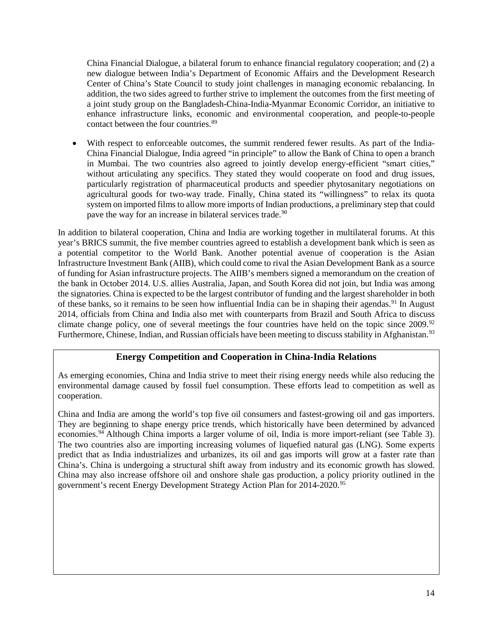China Financial Dialogue, a bilateral forum to enhance financial regulatory cooperation; and (2) a new dialogue between India's Department of Economic Affairs and the Development Research Center of China's State Council to study joint challenges in managing economic rebalancing. In addition, the two sides agreed to further strive to implement the outcomes from the first meeting of a joint study group on the Bangladesh-China-India-Myanmar Economic Corridor, an initiative to enhance infrastructure links, economic and environmental cooperation, and people-to-people contact between the four countries. [89](#page-24-38)

With respect to enforceable outcomes, the summit rendered fewer results. As part of the India-China Financial Dialogue, India agreed "in principle" to allow the Bank of China to open a branch in Mumbai. The two countries also agreed to jointly develop energy-efficient "smart cities," without articulating any specifics. They stated they would cooperate on food and drug issues, particularly registration of pharmaceutical products and speedier phytosanitary negotiations on agricultural goods for two-way trade. Finally, China stated its "willingness" to relax its quota system on imported films to allow more imports of Indian productions, a preliminary step that could pave the way for an increase in bilateral services trade.<sup>[90](#page-24-13)</sup>

In addition to bilateral cooperation, China and India are working together in multilateral forums. At this year's BRICS summit, the five member countries agreed to establish a development bank which is seen as a potential competitor to the World Bank. Another potential avenue of cooperation is the Asian Infrastructure Investment Bank (AIIB), which could come to rival the Asian Development Bank as a source of funding for Asian infrastructure projects. The AIIB's members signed a memorandum on the creation of the bank in October 2014. U.S. allies Australia, Japan, and South Korea did not join, but India was among the signatories. China is expected to be the largest contributor of funding and the largest shareholder in both of these banks, so it remains to be seen how influential India can be in shaping their agendas.<sup>[91](#page-24-39)</sup> In August 2014, officials from China and India also met with counterparts from Brazil and South Africa to discuss climate change policy, one of several meetings the four countries have held on the topic since 2009.<sup>[92](#page-24-17)</sup> Furthermore, Chinese, Indian, and Russian officials have been meeting to discuss stability in Afghanistan.<sup>[93](#page-24-40)</sup>

### **Energy Competition and Cooperation in China-India Relations**

As emerging economies, China and India strive to meet their rising energy needs while also reducing the environmental damage caused by fossil fuel consumption. These efforts lead to competition as well as cooperation.

China and India are among the world's top five oil consumers and fastest-growing oil and gas importers. They are beginning to shape energy price trends, which historically have been determined by advanced economies.<sup>[94](#page-24-41)</sup> Although China imports a larger volume of oil, India is more import-reliant (see Table 3). The two countries also are importing increasing volumes of liquefied natural gas (LNG). Some experts predict that as India industrializes and urbanizes, its oil and gas imports will grow at a faster rate than China's. China is undergoing a structural shift away from industry and its economic growth has slowed. China may also increase offshore oil and onshore shale gas production, a policy priority outlined in the government's recent Energy Development Strategy Action Plan for 2014-2020.<sup>[95](#page-24-19)</sup>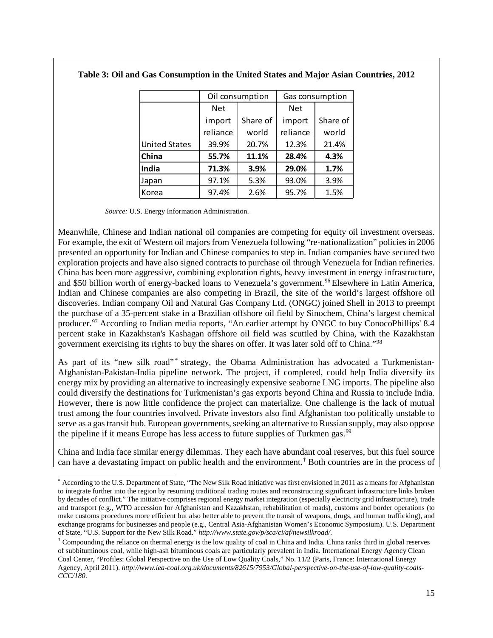|                      |            | Oil consumption | Gas consumption |          |  |
|----------------------|------------|-----------------|-----------------|----------|--|
|                      | <b>Net</b> |                 | <b>Net</b>      |          |  |
|                      | import     | Share of        | import          | Share of |  |
|                      | reliance   | world           | reliance        | world    |  |
| <b>United States</b> | 39.9%      | 20.7%           | 12.3%           | 21.4%    |  |
| China                | 55.7%      | 11.1%           | 28.4%           | 4.3%     |  |
| India                | 71.3%      | 3.9%            | 29.0%           | 1.7%     |  |
| Japan                | 97.1%      | 5.3%            | 93.0%           | 3.9%     |  |
| Korea                | 97.4%      | 2.6%            | 95.7%           | 1.5%     |  |

**Table 3: Oil and Gas Consumption in the United States and Major Asian Countries, 2012**

 *Source:* U.S. Energy Information Administration.

 $\overline{\phantom{a}}$ 

Meanwhile, Chinese and Indian national oil companies are competing for equity oil investment overseas. For example, the exit of Western oil majors from Venezuela following "re-nationalization" policies in 2006 presented an opportunity for Indian and Chinese companies to step in. Indian companies have secured two exploration projects and have also signed contracts to purchase oil through Venezuela for Indian refineries. China has been more aggressive, combining exploration rights, heavy investment in energy infrastructure, and \$50 billion worth of energy-backed loans to Venezuela's government. [96](#page-24-42) Elsewhere in Latin America, Indian and Chinese companies are also competing in Brazil, the site of the world's largest offshore oil discoveries. Indian company Oil and Natural Gas Company Ltd. (ONGC) joined Shell in 2013 to preempt the purchase of a 35-percent stake in a Brazilian offshore oil field by Sinochem, China's largest chemical producer.<sup>[97](#page-24-21)</sup> According to Indian media reports, "An earlier attempt by ONGC to buy ConocoPhillips' 8.4 percent stake in Kazakhstan's Kashagan offshore oil field was scuttled by China, with the Kazakhstan government exercising its rights to buy the shares on offer. It was later sold off to China."[98](#page-24-43)

As part of its "new silk road" [\\*](#page-14-0) strategy, the Obama Administration has advocated a Turkmenistan-Afghanistan-Pakistan-India pipeline network. The project, if completed, could help India diversify its energy mix by providing an alternative to increasingly expensive seaborne LNG imports. The pipeline also could diversify the destinations for Turkmenistan's gas exports beyond China and Russia to include India. However, there is now little confidence the project can materialize. One challenge is the lack of mutual trust among the four countries involved. Private investors also find Afghanistan too politically unstable to serve as a gas transit hub. European governments, seeking an alternative to Russian supply, may also oppose the pipeline if it means Europe has less access to future supplies of Turkmen gas.<sup>[99](#page-24-23)</sup>

China and India face similar energy dilemmas. They each have abundant coal reserves, but this fuel source can have a devastating impact on public health and the environment. [†](#page-14-1) Both countries are in the process of

<span id="page-14-0"></span><sup>\*</sup> According to the U.S. Department of State, "The New Silk Road initiative was first envisioned in 2011 as a means for Afghanistan to integrate further into the region by resuming traditional trading routes and reconstructing significant infrastructure links broken by decades of conflict." The initiative comprises regional energy market integration (especially electricity grid infrastructure), trade and transport (e.g., WTO accession for Afghanistan and Kazakhstan, rehabilitation of roads), customs and border operations (to make customs procedures more efficient but also better able to prevent the transit of weapons, drugs, and human trafficking), and exchange programs for businesses and people (e.g., Central Asia-Afghanistan Women's Economic Symposium). U.S. Department of State, "U.S. Support for the New Silk Road." *http://www.state.gov/p/sca/ci/af/newsilkroad/*.

<span id="page-14-1"></span><sup>†</sup> Compounding the reliance on thermal energy is the low quality of coal in China and India. China ranks third in global reserves of subbituminous coal, while high-ash bituminous coals are particularly prevalent in India. International Energy Agency Clean Coal Center, "Profiles: Global Perspective on the Use of Low Quality Coals," No. 11/2 (Paris, France: International Energy Agency, April 2011). *http://www.iea-coal.org.uk/documents/82615/7953/Global-perspective-on-the-use-of-low-quality-coals-CCC/180*.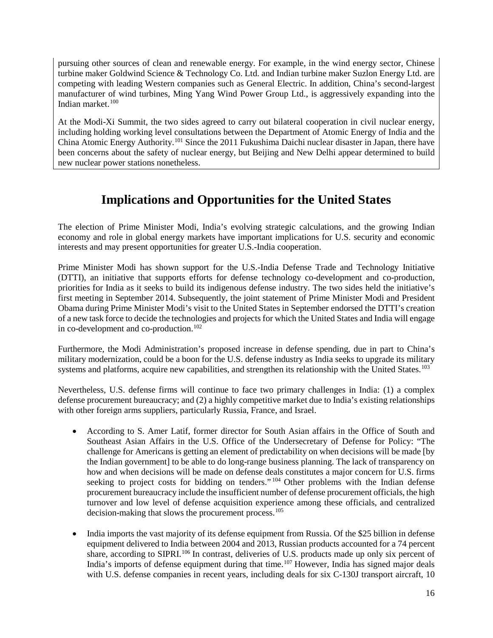pursuing other sources of clean and renewable energy. For example, in the wind energy sector, Chinese turbine maker Goldwind Science & Technology Co. Ltd. and Indian turbine maker Suzlon Energy Ltd. are competing with leading Western companies such as General Electric. In addition, China's second-largest manufacturer of wind turbines, Ming Yang Wind Power Group Ltd., is aggressively expanding into the Indian market.[100](#page-24-25)

At the Modi-Xi Summit, the two sides agreed to carry out bilateral cooperation in civil nuclear energy, including holding working level consultations between the Department of Atomic Energy of India and the China Atomic Energy Authority.[101](#page-24-26) Since the 2011 Fukushima Daichi nuclear disaster in Japan, there have been concerns about the safety of nuclear energy, but Beijing and New Delhi appear determined to build new nuclear power stations nonetheless.

# **Implications and Opportunities for the United States**

The election of Prime Minister Modi, India's evolving strategic calculations, and the growing Indian economy and role in global energy markets have important implications for U.S. security and economic interests and may present opportunities for greater U.S.-India cooperation.

Prime Minister Modi has shown support for the U.S.-India Defense Trade and Technology Initiative (DTTI), an initiative that supports efforts for defense technology co-development and co-production, priorities for India as it seeks to build its indigenous defense industry. The two sides held the initiative's first meeting in September 2014. Subsequently, the joint statement of Prime Minister Modi and President Obama during Prime Minister Modi's visit to the United States in September endorsed the DTTI's creation of a new task force to decide the technologies and projects for which the United States and India will engage in co-development and co-production. [102](#page-24-30)

Furthermore, the Modi Administration's proposed increase in defense spending, due in part to China's military modernization, could be a boon for the U.S. defense industry as India seeks to upgrade its military systems and platforms, acquire new capabilities, and strengthen its relationship with the United States.<sup>[103](#page-24-32)</sup>

Nevertheless, U.S. defense firms will continue to face two primary challenges in India: (1) a complex defense procurement bureaucracy; and (2) a highly competitive market due to India's existing relationships with other foreign arms suppliers, particularly Russia, France, and Israel.

- According to S. Amer Latif, former director for South Asian affairs in the Office of South and Southeast Asian Affairs in the U.S. Office of the Undersecretary of Defense for Policy: "The challenge for Americans is getting an element of predictability on when decisions will be made [by the Indian government] to be able to do long-range business planning. The lack of transparency on how and when decisions will be made on defense deals constitutes a major concern for U.S. firms seeking to project costs for bidding on tenders."<sup>[104](#page-24-33)</sup> Other problems with the Indian defense procurement bureaucracy include the insufficient number of defense procurement officials, the high turnover and low level of defense acquisition experience among these officials, and centralized decision-making that slows the procurement process.<sup>[105](#page-24-34)</sup>
- India imports the vast majority of its defense equipment from Russia. Of the \$25 billion in defense equipment delivered to India between 2004 and 2013, Russian products accounted for a 74 percent share, according to SIPRI.<sup>[106](#page-24-3)</sup> In contrast, deliveries of U.S. products made up only six percent of India's imports of defense equipment during that time.<sup>[107](#page-24-35)</sup> However, India has signed major deals with U.S. defense companies in recent years, including deals for six C-130J transport aircraft, 10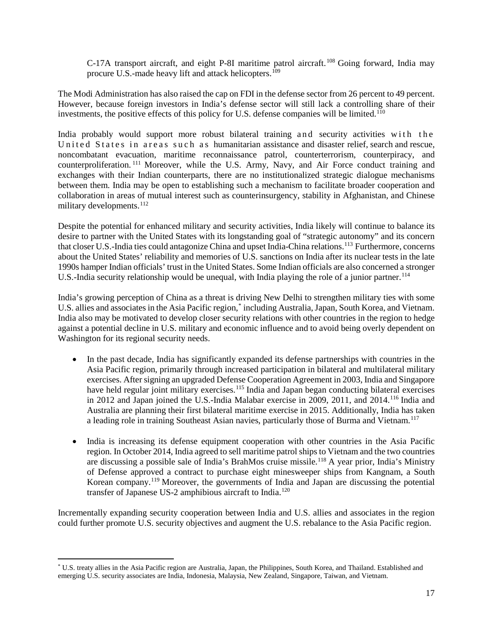C-17A transport aircraft, and eight P-8I maritime patrol aircraft.<sup>[108](#page-24-36)</sup> Going forward, India may procure U.S.-made heavy lift and attack helicopters.<sup>[109](#page-24-6)</sup>

The Modi Administration has also raised the cap on FDI in the defense sector from 26 percent to 49 percent. However, because foreign investors in India's defense sector will still lack a controlling share of their investments, the positive effects of this policy for U.S. defense companies will be limited.<sup>[110](#page-24-7)</sup>

India probably would support more robust bilateral training and security activities with the United States in areas such as humanitarian assistance and disaster relief, search and rescue, noncombatant evacuation, maritime reconnaissance patrol, counterterrorism, counterpiracy, and counterproliferation. [111](#page-24-9) Moreover, while the U.S. Army, Navy, and Air Force conduct training and exchanges with their Indian counterparts, there are no institutionalized strategic dialogue mechanisms between them. India may be open to establishing such a mechanism to facilitate broader cooperation and collaboration in areas of mutual interest such as counterinsurgency, stability in Afghanistan, and Chinese military developments.<sup>[112](#page-24-44)</sup>

Despite the potential for enhanced military and security activities, India likely will continue to balance its desire to partner with the United States with its longstanding goal of "strategic autonomy" and its concern that closer U.S.-India ties could antagonize China and upset India-China relations.<sup>[113](#page-24-11)</sup> Furthermore, concerns about the United States' reliability and memories of U.S. sanctions on India after its nuclear tests in the late 1990s hamper Indian officials' trust in the United States. Some Indian officials are also concerned a stronger U.S.-India security relationship would be unequal, with India playing the role of a junior partner.<sup>[114](#page-24-45)</sup>

India's growing perception of China as a threat is driving New Delhi to strengthen military ties with some U.S. allies and associates in the Asia Pacific region, [\\*](#page-16-0) including Australia, Japan, South Korea, and Vietnam. India also may be motivated to develop closer security relations with other countries in the region to hedge against a potential decline in U.S. military and economic influence and to avoid being overly dependent on Washington for its regional security needs.

- In the past decade, India has significantly expanded its defense partnerships with countries in the Asia Pacific region, primarily through increased participation in bilateral and multilateral military exercises. After signing an upgraded Defense Cooperation Agreement in 2003, India and Singapore have held regular joint military exercises.<sup>[115](#page-24-46)</sup> India and Japan began conducting bilateral exercises in 2012 and Japan joined the U.S.-India Malabar exercise in 2009, 2011, and 2014.[116](#page-24-47) India and Australia are planning their first bilateral maritime exercise in 2015. Additionally, India has taken a leading role in training Southeast Asian navies, particularly those of Burma and Vietnam.<sup>[117](#page-24-15)</sup>
- India is increasing its defense equipment cooperation with other countries in the Asia Pacific region. In October 2014, India agreed to sell maritime patrol ships to Vietnam and the two countries are discussing a possible sale of India's BrahMos cruise missile.<sup>[118](#page-24-16)</sup> A year prior, India's Ministry of Defense approved a contract to purchase eight minesweeper ships from Kangnam, a South Korean company.[119](#page-24-18) Moreover, the governments of India and Japan are discussing the potential transfer of Japanese US-2 amphibious aircraft to India.[120](#page-24-41)

Incrementally expanding security cooperation between India and U.S. allies and associates in the region could further promote U.S. security objectives and augment the U.S. rebalance to the Asia Pacific region.

 $\overline{\phantom{a}}$ 

<span id="page-16-0"></span><sup>\*</sup> U.S. treaty allies in the Asia Pacific region are Australia, Japan, the Philippines, South Korea, and Thailand. Established and emerging U.S. security associates are India, Indonesia, Malaysia, New Zealand, Singapore, Taiwan, and Vietnam.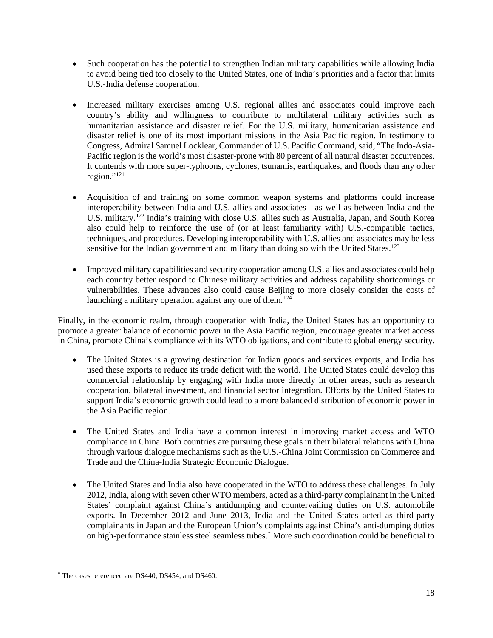- Such cooperation has the potential to strengthen Indian military capabilities while allowing India to avoid being tied too closely to the United States, one of India's priorities and a factor that limits U.S.-India defense cooperation.
- Increased military exercises among U.S. regional allies and associates could improve each country's ability and willingness to contribute to multilateral military activities such as humanitarian assistance and disaster relief. For the U.S. military, humanitarian assistance and disaster relief is one of its most important missions in the Asia Pacific region. In testimony to Congress, Admiral Samuel Locklear, Commander of U.S. Pacific Command, said, "The Indo-Asia-Pacific region is the world's most disaster-prone with 80 percent of all natural disaster occurrences. It contends with more super-typhoons, cyclones, tsunamis, earthquakes, and floods than any other region."[121](#page-24-48)
- Acquisition of and training on some common weapon systems and platforms could increase interoperability between India and U.S. allies and associates—as well as between India and the U.S. military.<sup>[122](#page-24-20)</sup> India's training with close U.S. allies such as Australia, Japan, and South Korea also could help to reinforce the use of (or at least familiarity with) U.S.-compatible tactics, techniques, and procedures. Developing interoperability with U.S. allies and associates may be less sensitive for the Indian government and military than doing so with the United States.<sup>[123](#page-24-22)</sup>
- Improved military capabilities and security cooperation among U.S. allies and associates could help each country better respond to Chinese military activities and address capability shortcomings or vulnerabilities. These advances also could cause Beijing to more closely consider the costs of launching a military operation against any one of them.<sup>[124](#page-24-23)</sup>

Finally, in the economic realm, through cooperation with India, the United States has an opportunity to promote a greater balance of economic power in the Asia Pacific region, encourage greater market access in China, promote China's compliance with its WTO obligations, and contribute to global energy security.

- The United States is a growing destination for Indian goods and services exports, and India has used these exports to reduce its trade deficit with the world. The United States could develop this commercial relationship by engaging with India more directly in other areas, such as research cooperation, bilateral investment, and financial sector integration. Efforts by the United States to support India's economic growth could lead to a more balanced distribution of economic power in the Asia Pacific region.
- The United States and India have a common interest in improving market access and WTO compliance in China. Both countries are pursuing these goals in their bilateral relations with China through various dialogue mechanisms such as the U.S.-China Joint Commission on Commerce and Trade and the China-India Strategic Economic Dialogue.
- The United States and India also have cooperated in the WTO to address these challenges. In July 2012, India, along with seven other WTO members, acted as a third-party complainant in the United States' complaint against China's antidumping and countervailing duties on U.S. automobile exports. In December 2012 and June 2013, India and the United States acted as third-party complainants in Japan and the European Union's complaints against China's anti-dumping duties on high-performance stainless steel seamless tubes.[\\*](#page-17-0) More such coordination could be beneficial to

<span id="page-17-0"></span><sup>\*</sup> The cases referenced are DS440, DS454, and DS460. l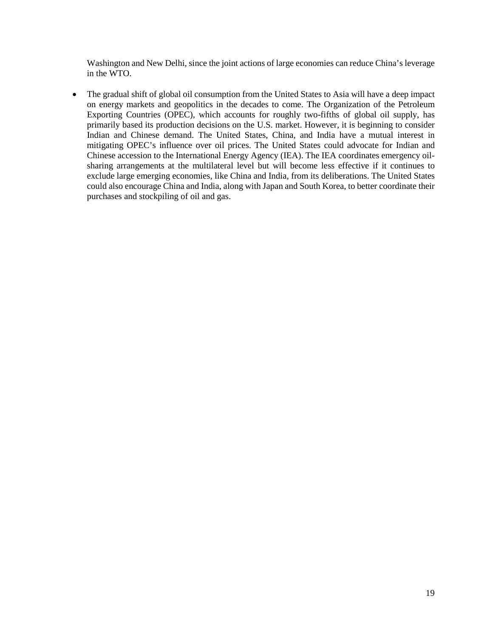Washington and New Delhi, since the joint actions of large economies can reduce China's leverage in the WTO.

• The gradual shift of global oil consumption from the United States to Asia will have a deep impact on energy markets and geopolitics in the decades to come. The Organization of the Petroleum Exporting Countries (OPEC), which accounts for roughly two-fifths of global oil supply, has primarily based its production decisions on the U.S. market. However, it is beginning to consider Indian and Chinese demand. The United States, China, and India have a mutual interest in mitigating OPEC's influence over oil prices. The United States could advocate for Indian and Chinese accession to the International Energy Agency (IEA). The IEA coordinates emergency oilsharing arrangements at the multilateral level but will become less effective if it continues to exclude large emerging economies, like China and India, from its deliberations. The United States could also encourage China and India, along with Japan and South Korea, to better coordinate their purchases and stockpiling of oil and gas.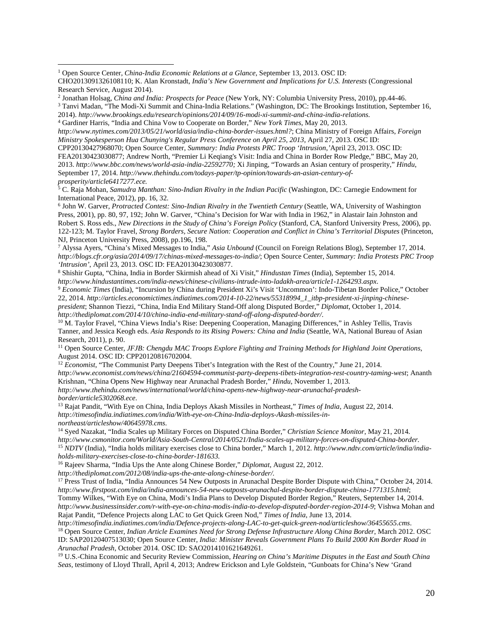$\overline{\phantom{a}}$ 

*http://www.nytimes.com/2013/05/21/world/asia/india-china-border-issues.html?*; China Ministry of Foreign Affairs, *Foreign Ministry Spokesperson Hua Chunying's Regular Press Conference on April 25, 2013*, April 27, 2013. OSC ID:

CPP20130427968070; Open Source Center*, Summary: India Protests PRC Troop 'Intrusion*,*'*April 23, 2013. OSC ID: FEA20130423030877; Andrew North, "Premier Li Keqiang's Visit: India and China in Border Row Pledge," BBC, May 20, 2013. *[http://www.bbc.com/news/world-asia-india-22592770;](http://www.bbc.com/news/world-asia-india-22592770)* Xi Jinping, "Towards an Asian century of prosperity," *Hindu*, September 17, 2014. *[http://www.thehindu.com/todays-paper/tp-opinion/towards-an-asian-century-of](http://www.thehindu.com/todays-paper/tp-opinion/towards-an-asian-century-of-prosperity/article6417277.ece)[prosperity/article6417277.ece.](http://www.thehindu.com/todays-paper/tp-opinion/towards-an-asian-century-of-prosperity/article6417277.ece)*

<span id="page-19-4"></span><sup>5</sup> C. Raja Mohan, *Samudra Manthan: Sino-Indian Rivalry in the Indian Pacific* (Washington, DC: Carnegie Endowment for International Peace, 2012), pp. 16, 32.

<sup>6</sup> John W. Garver, *Protracted Contest: Sino-Indian Rivalry in the Twentieth Century* (Seattle, WA, University of Washington Press, 2001), pp. 80, 97, 192; John W. Garver, "China's Decision for War with India in 1962," in Alastair Iain Johnston and Robert S. Ross eds., *New Directions in the Study of China's Foreign Policy* (Stanford, CA, Stanford University Press, 2006), pp. 122-123; M. Taylor Fravel, *Strong Borders, Secure Nation: Cooperation and Conflict in China's Territorial Disputes* (Princeton, NJ, Princeton University Press, 2008), pp.196, 198.

<sup>7</sup> Alyssa Ayers, "China's Mixed Messages to India," *Asia Unbound* (Council on Foreign Relations Blog), September 17, 2014. *http://blogs.cfr.org/asia/2014/09/17/chinas-mixed-messages-to-india/*; Open Source Center, *Summary: India Protests PRC Troop 'Intrusion'*, April 23, 2013. OSC ID: FEA20130423030877.

<sup>8</sup> Shishir Gupta, "China, India in Border Skirmish ahead of Xi Visit," *Hindustan Times* (India), September 15, 2014. *http://www.hindustantimes.com/india-news/chinese-civilians-intrude-into-ladakh-area/article1-1264293.aspx*.

<sup>9</sup> *Economic Times* (India), "Incursion by China during President Xi's Visit 'Uncommon': Indo-Tibetan Border Police," October 22, 2014. *[http://articles.economictimes.indiatimes.com/2014-10-22/news/55318994\\_1\\_itbp-president-xi-jinping-chinese](http://articles.economictimes.indiatimes.com/2014-10-22/news/55318994_1_itbp-president-xi-jinping-chinese-president)[president](http://articles.economictimes.indiatimes.com/2014-10-22/news/55318994_1_itbp-president-xi-jinping-chinese-president)*; Shannon Tiezzi, "China, India End Military Stand-Off along Disputed Border," *Diplomat*, October 1, 2014. *http://thediplomat.com/2014/10/china-india-end-military-stand-off-along-disputed-border/*.

<sup>10</sup> M. Taylor Fravel, "China Views India's Rise: Deepening Cooperation, Managing Differences," in Ashley Tellis, Travis Tanner, and Jessica Keogh eds. *Asia Responds to its Rising Powers: China and India* (Seattle, WA, National Bureau of Asian Research, 2011), p. 90.

<sup>11</sup> Open Source Center, *JFJB: Chengdu MAC Troops Explore Fighting and Training Methods for Highland Joint Operations*, August 2014. OSC ID: CPP20120816702004.

<sup>12</sup> *Economist*, "The Communist Party Deepens Tibet's Integration with the Rest of the Country," June 21, 2014.

*<http://www.economist.com/news/china/21604594-communist-party-deepens-tibets-integration-rest-country-taming-west>*; Ananth Krishnan, "China Opens New Highway near Arunachal Pradesh Border," *Hindu*, November 1, 2013.

*[http://www.thehindu.com/news/international/world/china-opens-new-highway-near-arunachal-pradesh-](http://www.thehindu.com/news/international/world/china-opens-new-highway-near-arunachal-pradesh-border/article5302068.ece)border/article5302068[.](http://www.thehindu.com/news/international/world/china-opens-new-highway-near-arunachal-pradesh-border/article5302068.ece)ece.*<br><sup>13</sup> Rajat Pandit, "With Eye on China, India Deploys Akash Missiles in Northeast," *Times of India*, August 22, 2014.

*http://timesofindia.indiatimes.com/india/With-eye-on-China-India-deploys-Akash-missiles-innortheast/articleshow/40645978.cms*.

<sup>14</sup> Syed Nazakat, "India Scales up Military Forces on Disputed China Border," *Christian Science Monitor*, May 21, 2014. *[http://www.csmonitor.com/World/Asia-South-Central/2014/0521/India-scales-up-military-forces-on-disputed-China-border.](http://www.csmonitor.com/World/Asia-South-Central/2014/0521/India-scales-up-military-forces-on-disputed-China-border)* <sup>15</sup> *NDTV* (India), "India holds military exercises close to China border," March 1, 2012. *[http://www.ndtv.com/article/india/india](http://www.ndtv.com/article/india/india-holds-military-exercises-close-to-china-border-181633)[holds-military-exercises-close-to-china-border-181633.](http://www.ndtv.com/article/india/india-holds-military-exercises-close-to-china-border-181633)*

<sup>16</sup> Rajeev Sharma, "India Ups the Ante along Chinese Border," *Diplomat*, August 22, 2012.

*http://thediplomat.com/2012/08/india-ups-the-ante-along-chinese-border/.*

<sup>17</sup> Press Trust of India, "India Announces 54 New Outposts in Arunachal Despite Border Dispute with China," October 24, 2014. *http://www.firstpost.com/india/india-announces-54-new-outposts-arunachal-despite-border-dispute-china-1771315.html*; Tommy Wilkes, "With Eye on China, Modi's India Plans to Develop Disputed Border Region," Reuters, September 14, 2014. *http://www.businessinsider.com/r-with-eye-on-china-modis-india-to-develop-disputed-border-region-2014-9*; Vishwa Mohan and Rajat Pandit, "Defence Projects along LAC to Get Quick Green Nod," *Times of India*, June 13, 2014.

*http://timesofindia.indiatimes.com/india/Defence-projects-along-LAC-to-get-quick-green-nod/articleshow/36455655.cms*. <sup>18</sup> Open Source Center, *Indian Article Examines Need for Strong Defense Infrastructure Along China Border*, March 2012. OSC ID: SAP20120407513030; Open Source Center, *India: Minister Reveals Government Plans To Build 2000 Km Border Road in Arunachal Pradesh*, October 2014. OSC ID: SAO2014101621649261.

<sup>19</sup> U.S.-China Economic and Security Review Commission, *Hearing on China's Maritime Disputes in the East and South China Seas,* testimony of Lloyd Thrall, April 4, 2013; Andrew Erickson and Lyle Goldstein, "Gunboats for China's New 'Grand

<span id="page-19-0"></span><sup>1</sup> Open Source Center, *China-India Economic Relations at a Glance*, September 13, 2013. OSC ID:

CHO2013091326108110; K. Alan Kronstadt, *India's New Government and Implications for U.S. Interests* (Congressional Research Service, August 2014).

<span id="page-19-1"></span><sup>2</sup> Jonathan Holsag, *China and India: Prospects for Peace* (New York, NY: Columbia University Press, 2010), pp.44-46.

<span id="page-19-2"></span><sup>3</sup> Tanvi Madan, "The Modi-Xi Summit and China-India Relations." (Washington, DC: The Brookings Institution, September 16, 2014). *[http://www.brookings.edu/research/opinions/2014/09/16-modi-xi-summit-and-china-india-relations.](http://www.brookings.edu/research/opinions/2014/09/16-modi-xi-summit-and-china-india-relations)*

<span id="page-19-3"></span><sup>4</sup> Gardiner Harris, "India and China Vow to Cooperate on Border," *New York Times*, May 20, 2013.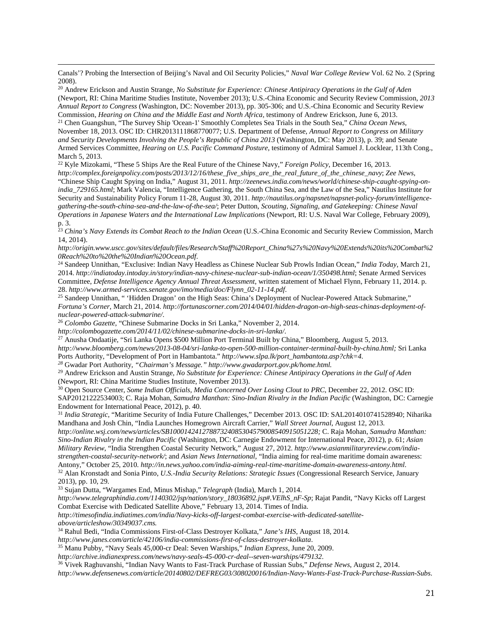Canals'? Probing the Intersection of Beijing's Naval and Oil Security Policies," *Naval War College Review* Vol. 62 No. 2 (Spring 2008).

<sup>20</sup> Andrew Erickson and Austin Strange, *No Substitute for Experience: Chinese Antipiracy Operations in the Gulf of Aden*  (Newport, RI: China Maritime Studies Institute, November 2013); U.S.-China Economic and Security Review Commission, *2013 Annual Report to Congress* (Washington, DC: November 2013), pp. 305-306; and U.S.-China Economic and Security Review Commission, *Hearing on China and the Middle East and North Africa,* testimony of Andrew Erickson, June 6, 2013. <sup>21</sup> Chen Guangshun, "The Survey Ship 'Ocean-1' Smoothly Completes Sea Trials in the South Sea," *China Ocean News*, November 18, 2013. OSC ID: CHR2013111868770077; U.S. Department of Defense, *Annual Report to Congress on Military and Security Developments Involving the People's Republic of China 2013* (Washington, DC: May 2013), p. 39; and Senate Armed Services Committee, *Hearing on U.S. Pacific Command Posture*, testimony of Admiral Samuel J. Locklear, 113th Cong., March 5, 2013.

<sup>22</sup> Kyle Mizokami, "These 5 Ships Are the Real Future of the Chinese Navy," *Foreign Policy*, December 16, 2013. *http://complex.foreignpolicy.com/posts/2013/12/16/these\_five\_ships\_are\_the\_real\_future\_of\_the\_chinese\_navy*; *Zee News*, "Chinese Ship Caught Spying on India," August 31, 2011. *[http://zeenews.india.com/news/world/chinese-ship-caught-spying-on](http://zeenews.india.com/news/world/chinese-ship-caught-spying-on-india_729165.html)[india\\_729165.html](http://zeenews.india.com/news/world/chinese-ship-caught-spying-on-india_729165.html)*; Mark Valencia, "Intelligence Gathering, the South China Sea, and the Law of the Sea," Nautilus Institute for Security and Sustainability Policy Forum 11-28, August 30, 2011. *[http://nautilus.org/napsnet/napsnet-policy-forum/intelligence](http://nautilus.org/napsnet/napsnet-policy-forum/intelligence-gathering-the-south-china-sea-and-the-law-of-the-sea/)[gathering-the-south-china-sea-and-the-law-of-the-sea/](http://nautilus.org/napsnet/napsnet-policy-forum/intelligence-gathering-the-south-china-sea-and-the-law-of-the-sea/)*; Peter Dutton, *Scouting, Signaling, and Gatekeeping: Chinese Naval Operations in Japanese Waters and the International Law Implications* (Newport, RI: U.S. Naval War College, February 2009), p. 3.

<span id="page-20-0"></span><sup>23</sup> *China's Navy Extends its Combat Reach to the Indian Ocean* (U.S.-China Economic and Security Review Commission, March 14, 2014).

*http://origin.www.uscc.gov/sites/default/files/Research/Staff%20Report\_China%27s%20Navy%20Extends%20its%20Combat%2 0Reach%20to%20the%20Indian%20Ocean.pdf*.

<sup>24</sup> Sandeep Unnithan, "Exclusive: Indian Navy Headless as Chinese Nuclear Sub Prowls Indian Ocean," *India Today*, March 21, 2014. *http://indiatoday.intoday.in/story/indian-navy-chinese-nuclear-sub-indian-ocean/1/350498.html*; Senate Armed Services Committee, *Defense Intelligence Agency Annual Threat Assessment*, written statement of Michael Flynn, February 11, 2014. p. 28. *http://www.armed-services.senate.gov/imo/media/doc/Flynn\_02-11-14.pdf*.

25 Sandeep Unnithan, " 'Hidden Dragon' on the High Seas: China's Deployment of Nuclear-Powered Attack Submarine," *Fortuna's Corner*, March 21, 2014. *http://fortunascorner.com/2014/04/01/hidden-dragon-on-high-seas-chinas-deployment-ofnuclear-powered-attack-submarine/*.

<sup>26</sup> *Colombo Gazette*, "Chinese Submarine Docks in Sri Lanka," November 2, 2014.

*http://colombogazette.com/2014/11/02/chinese-submarine-docks-in-sri-lanka/*.

 $\overline{\phantom{a}}$ 

<sup>27</sup> Anusha Ondaatije, "Sri Lanka Opens \$500 Million Port Terminal Built by China," Bloomberg, August 5, 2013.

*[http://www.bloomberg.com/news/2013-08-04/sri-lanka-to-open-500-million-container-terminal-built-by-china.html;](http://www.bloomberg.com/news/2013-08-04/sri-lanka-to-open-500-million-container-terminal-built-by-china.html)* Sri Lanka Ports Authority, "Development of Port in Hambantota." *[http://www.slpa.lk/port\\_hambantota.asp?chk=4.](http://www.slpa.lk/port_hambantota.asp?chk=4) 28* Gwadar Port Authority, *"Chairman's Message." [http://www.gwadarport.gov.pk/home.html.](http://www.gwadarport.gov.pk/home.html)* 

<sup>29</sup> Andrew Erickson and Austin Strange, *No Substitute for Experience: Chinese Antipiracy Operations in the Gulf of Aden*  (Newport, RI: China Maritime Studies Institute, November 2013).

<sup>30</sup> Open Source Center, *Some Indian Officials, Media Concerned Over Losing Clout to PRC*, December 22, 2012. OSC ID: SAP20121222534003; C. Raja Mohan, *Samudra Manthan: Sino-Indian Rivalry in the Indian Pacific* (Washington, DC: Carnegie Endowment for International Peace, 2012), p. 40.

<sup>31</sup> *India Strategic*, "Maritime Security of India Future Challenges," December 2013. OSC ID: SAL2014010741528940; Niharika Mandhana and Josh Chin, "India Launches Homegrown Aircraft Carrier," *Wall Street Journal*, August 12, 2013*.* 

*[http://online.wsj.com/news/articles/SB10001424127887324085304579008540915051228;](http://online.wsj.com/news/articles/SB10001424127887324085304579008540915051228)* C. Raja Mohan, *Samudra Manthan: Sino-Indian Rivalry in the Indian Pacific* (Washington, DC: Carnegie Endowment for International Peace, 2012), p. 61; *Asian Military Review*, "India Strengthen Coastal Security Network," August 27, 2012*. [http://www.asianmilitaryreview.com/india](http://www.asianmilitaryreview.com/india-strengthen-coastal-security-network/)[strengthen-coastal-security-network/](http://www.asianmilitaryreview.com/india-strengthen-coastal-security-network/)*; and *Asian News International*, "India aiming for real-time maritime domain awareness: Antony," October 25, 2010. *[http://in.news.yahoo.com/india-aiming-real-time-maritime-domain-awareness-antony.html.](http://in.news.yahoo.com/india-aiming-real-time-maritime-domain-awareness-antony.html)* <sup>32</sup> Alan Kronstadt and Sonia Pinto, *U.S.-India Security Relations: Strategic Issues* (Congressional Research Service, January 2013), pp. 10, 29.

<sup>33</sup> Sujan Dutta, "Wargames End, Minus Mishap," *Telegraph* (India), March 1, 2014.

*[http://www.telegraphindia.com/1140302/jsp/nation/story\\_18036892.jsp#.VElhS\\_nF-Sp](http://www.telegraphindia.com/1140302/jsp/nation/story_18036892.jsp%23.VElhS_nF-Sp)*; Rajat Pandit, "Navy Kicks off Largest Combat Exercise with Dedicated Satellite Above," February 13, 2014. Times of India.

*[http://timesofindia.indiatimes.com/india/Navy-kicks-off-largest-combat-exercise-with-dedicated-satellite](http://timesofindia.indiatimes.com/india/Navy-kicks-off-largest-combat-exercise-with-dedicated-satellite-above/articleshow/30349037.cms?referral=PM)[above/articleshow/30349037.cms.](http://timesofindia.indiatimes.com/india/Navy-kicks-off-largest-combat-exercise-with-dedicated-satellite-above/articleshow/30349037.cms?referral=PM)*

<sup>34</sup> Rahul Bedi, "India Commissions First-of-Class Destroyer Kolkata," *Jane's IHS*, August 18, 2014.

*http://www.janes.com/article/42106/india-commissions-first-of-class-destroyer-kolkata*.

<sup>35</sup> Manu Pubby, "Navy Seals 45,000-cr Deal: Seven Warships," *Indian Express*, June 20, 2009.

*http://archive.indianexpress.com/news/navy-seals-45-000-cr-deal--seven-warships/479132*.

<sup>36</sup> Vivek Raghuvanshi, "Indian Navy Wants to Fast-Track Purchase of Russian Subs," *Defense News*, August 2, 2014.

*http://www.defensenews.com/article/20140802/DEFREG03/308020016/Indian-Navy-Wants-Fast-Track-Purchase-Russian-Subs*.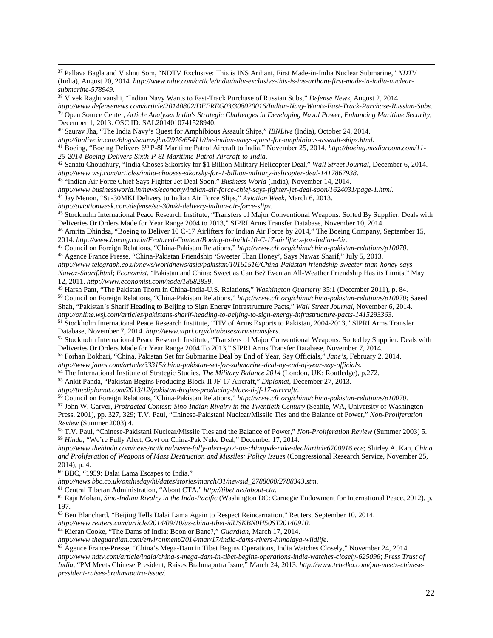<sup>37</sup> Pallava Bagla and Vishnu Som, "NDTV Exclusive: This is INS Arihant, First Made-in-India Nuclear Submarine," *NDTV* (India), August 20, 2014. *http://www.ndtv.com/article/india/ndtv-exclusive-this-is-ins-arihant-first-made-in-india-nuclearsubmarine-578949*. 38 Vivek Raghuvanshi, "Indian Navy Wants to Fast-Track Purchase of Russian Subs," *Defense News*, August 2, 2014.

*http://www.defensenews.com/article/20140802/DEFREG03/308020016/Indian-Navy-Wants-Fast-Track-Purchase-Russian-Subs*. <sup>39</sup> Open Source Center, *Article Analyzes India's Strategic Challenges in Developing Naval Power, Enhancing Maritime Security*, December 1, 2013. OSC ID: SAL2014010741528940.

<sup>40</sup> Saurav Jha, "The India Navy's Quest for Amphibious Assault Ships," *IBNLive* (India), October 24, 2014.

*http://ibnlive.in.com/blogs/sauravjha/2976/65411/the-indian-navys-quest-for-amphibious-assault-ships.html.*

<sup>41</sup> Boeing, "Boeing Delivers 6th P-8I Maritime Patrol Aircraft to India," November 25, 2014. *http://boeing.mediaroom.com/11- 25-2014-Boeing-Delivers-Sixth-P-8I-Maritime-Patrol-Aircraft-to-India*.

<sup>42</sup> Sanatu Choudhury, "India Choses Sikorsky for \$1 Billion Military Helicopter Deal," *Wall Street Journal*, December 6, 2014.

*http://www.wsj.com/articles/india-chooses-sikorsky-for-1-billion-military-helicopter-deal-1417867938*. 43 "Indian Air Force Chief Says Fighter Jet Deal Soon," *Business World* (India), November 14, 2014.

*http://www.businessworld.in/news/economy/indian-air-force-chief-says-fighter-jet-deal-soon/1624031/page-1.html*.

<sup>44</sup> Jay Menon, "Su-30MKI Delivery to Indian Air Force Slips," *Aviation Week*, March 6, 2013.

*http://aviationweek.com/defense/su-30mki-delivery-indian-air-force-slips*.

 $\overline{\phantom{a}}$ 

<sup>45</sup> Stockholm International Peace Research Institute, "Transfers of Major Conventional Weapons: Sorted By Supplier. Deals with Deliveries Or Orders Made for Year Range 2004 to 2013," SIPRI Arms Transfer Database, November 10, 2014.

<sup>46</sup> Amrita Dhindsa, "Boeing to Deliver 10 C-17 Airlifters for Indian Air Force by 2014," The Boeing Company, September 15, 2014. *http://www.boeing.co.in/Featured-Content/Boeing-to-build-10-C-17-airlifters-for-Indian-Air*.

<span id="page-21-0"></span><sup>47</sup> Council on Foreign Relations, "China-Pakistan Relations." *[http://www.cfr.org/china/china-pakistan-relations/p10070.](http://www.cfr.org/china/china-pakistan-relations/p10070)* <sup>48</sup> Agence France Presse, "China-Pakistan Friendship 'Sweeter Than Honey', Says Nawaz Sharif," July 5, 2013.

<span id="page-21-1"></span>*http://www.telegraph.co.uk/news/worldnews/asia/pakistan/10161516/China-Pakistan-friendship-sweeter-than-honey-says-Nawaz-Sharif.html*; *Economist*, "Pakistan and China: Sweet as Can Be? Even an All-Weather Friendship Has its Limits," May 12, 2011. *http://www.economist.com/node/18682839*.

<span id="page-21-2"></span><sup>49</sup> Harsh Pant, "The Pakistan Thorn in China-India-U.S. Relations," *Washington Quarterly* 35:1 (December 2011), p. 84. <sup>50</sup> Council on Foreign Relations, "China-Pakistan Relations." *<http://www.cfr.org/china/china-pakistan-relations/p10070>*; Saeed Shah, "Pakistan's Sharif Heading to Beijing to Sign Energy Infrastructure Pacts," *Wall Street Journal*, November 6, 2014. *http://online.wsj.com/articles/pakistans-sharif-heading-to-beijing-to-sign-energy-infrastructure-pacts-1415293363*.

<span id="page-21-3"></span><sup>51</sup> Stockholm International Peace Research Institute, "TIV of Arms Exports to Pakistan, 2004-2013," SIPRI Arms Transfer Database, November 7, 2014. *http://www.sipri.org/databases/armstransfers*.

<sup>52</sup> Stockholm International Peace Research Institute, "Transfers of Major Conventional Weapons: Sorted by Supplier. Deals with Deliveries Or Orders Made for Year Range 2004 To 2013," SIPRI Arms Transfer Database, November 7, 2014.

<span id="page-21-4"></span><sup>53</sup> Forhan Bokhari, "China, Pakistan Set for Submarine Deal by End of Year, Say Officials," *Jane's*, February 2, 2014.

<span id="page-21-5"></span>*http://www.janes.com/article/33315/china-pakistan-set-for-submarine-deal-by-end-of-year-say-officials*.

<sup>55</sup> Ankit Panda, "Pakistan Begins Producing Block-II JF-17 Aircraft," *Diplomat*, December 27, 2013.

*http://thediplomat.com/2013/12/pakistan-begins-producing-block-ii-jf-17-aircraft/*.

<sup>56</sup> Council on Foreign Relations, "China-Pakistan Relations." *[http://www.cfr.org/china/china-pakistan-relations/p10070.](http://www.cfr.org/china/china-pakistan-relations/p10070)* <sup>57</sup> John W. Garver, *Protracted Contest: Sino-Indian Rivalry in the Twentieth Century* (Seattle, WA, University of Washington Press, 2001), pp. 327, 329; T.V. Paul, "Chinese-Pakistani Nuclear/Missile Ties and the Balance of Power," *Non-Proliferation Review* (Summer 2003) 4.

<sup>58</sup> T.V. Paul, "Chinese-Pakistani Nuclear/Missile Ties and the Balance of Power," *Non-Proliferation Review* (Summer 2003) 5. 59 *Hindu*, "We're Fully Alert, Govt on China-Pak Nuke Deal," December 17, 2014.

*http://www.thehindu.com/news/national/were-fully-alert-govt-on-chinapak-nuke-deal/article6700916.ece*; Shirley A. Kan, *China and Proliferation of Weapons of Mass Destruction and Missiles: Policy Issues* (Congressional Research Service, November 25,

 $60$  BBC, "1959: Dalai Lama Escapes to India."

*http://news.bbc.co.uk/onthisday/hi/dates/stories/march/31/newsid\_2788000/2788343.stm*.

<sup>61</sup> Central Tibetan Administration, "About CTA." *[http://tibet.net/about-cta.](http://tibet.net/about-cta)* 

<sup>62</sup> Raja Mohan, *Sino-Indian Rivalry in the Indo-Pacific* (Washington DC: Carnegie Endowment for International Peace, 2012), p. 197.

<sup>63</sup> Ben Blanchard, "Beijing Tells Dalai Lama Again to Respect Reincarnation," Reuters, September 10, 2014.

*http://www.reuters.com/article/2014/09/10/us-china-tibet-idUSKBN0H50ST20140910*.

<sup>64</sup> Kieran Cooke, "The Dams of India: Boon or Bane?," *Guardian*, March 17, 2014.

<sup>65</sup> Agence France-Presse, "China's Mega-Dam in Tibet Begins Operations, India Watches Closely," November 24, 2014.

*http://www.ndtv.com/article/india/china-s-mega-dam-in-tibet-begins-operations-india-watches-closely-625096*; *Press Trust of India*, "PM Meets Chinese President, Raises Brahmaputra Issue," March 24, 2013. *http://www.tehelka.com/pm-meets-chinesepresident-raises-brahmaputra-issue/.*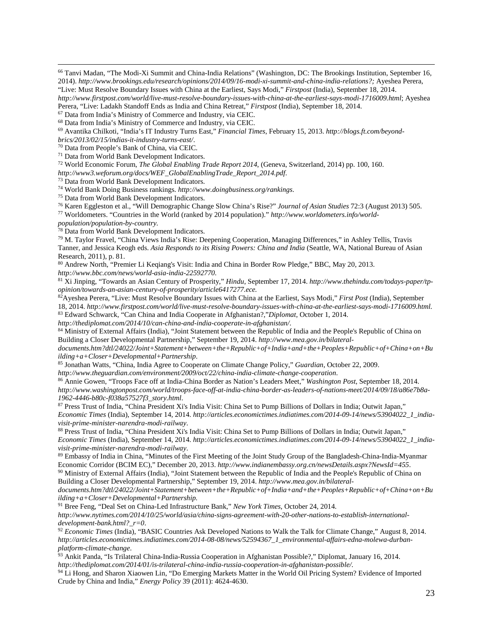<sup>66</sup> Tanvi Madan, "The Modi-Xi Summit and China-India Relations" (Washington, DC: The Brookings Institution, September 16, 2014). *http://www.brookings.edu/research/opinions/2014/09/16-modi-xi-summit-and-china-india-relations?;* Ayeshea Perera,

<sup>69</sup> Avantika Chilkoti, "India's IT Industry Turns East," *Financial Times*, February 15, 2013. *http://blogs.ft.com/beyond-*

*brics/2013/02/15/indias-it-industry-turns-east/*.

<sup>70</sup> Data from People's Bank of China, via CEIC.

<sup>71</sup> Data from World Bank Development Indicators.

<span id="page-22-9"></span><sup>72</sup> World Economic Forum, *The Global Enabling Trade Report 2014*, (Geneva, Switzerland, 2014) pp. 100, 160.

*http://www3.weforum.org/docs/WEF\_GlobalEnablingTrade\_Report\_2014.pdf*. 73 Data from World Bank Development Indicators.

<sup>74</sup> World Bank Doing Business rankings. *http://www.doingbusiness.org/rankings*.

<sup>75</sup> Data from World Bank Development Indicators.

<sup>76</sup> Karen Eggleston et al., "Will Demographic Change Slow China's Rise?" *Journal of Asian Studies* 72:3 (August 2013) 505.

<sup>77</sup> Worldometers. "Countries in the World (ranked by 2014 population)." *[http://www.worldometers.info/world-](http://www.worldometers.info/world-population/population-by-country)*

*[population/population-by-country.](http://www.worldometers.info/world-population/population-by-country)*

 $\overline{\phantom{a}}$ 

<sup>78</sup> Data from World Bank Development Indicators.

<span id="page-22-10"></span><sup>79</sup> M. Taylor Fravel, "China Views India's Rise: Deepening Cooperation, Managing Differences," in Ashley Tellis, Travis Tanner, and Jessica Keogh eds. *Asia Responds to its Rising Powers: China and India* (Seattle, WA, National Bureau of Asian Research, 2011), p. 81.

<span id="page-22-11"></span><sup>80</sup> Andrew North, "Premier Li Keqiang's Visit: India and China in Border Row Pledge," BBC, May 20, 2013. *[http://www.bbc.com/news/world-asia-india-22592770.](http://www.bbc.com/news/world-asia-india-22592770)*

<sup>81</sup> Xi Jinping, "Towards an Asian Century of Prosperity," *Hindu*, September 17, 2014. *[http://www.thehindu.com/todays-paper/tp](http://www.thehindu.com/todays-paper/tp-opinion/towards-an-asian-century-of-prosperity/article6417277.ece)[opinion/towards-an-asian-century-of-prosperity/article6417277.ece.](http://www.thehindu.com/todays-paper/tp-opinion/towards-an-asian-century-of-prosperity/article6417277.ece)*

<span id="page-22-12"></span>82Ayeshea Perera, "Live: Must Resolve Boundary Issues with China at the Earliest, Says Modi," *First Post* (India), September 18, 2014. *[http://www.firstpost.com/world/live-must-resolve-boundary-issues-with-china-at-the-earliest-says-modi-1716009.html.](http://www.firstpost.com/world/live-must-resolve-boundary-issues-with-china-at-the-earliest-says-modi-1716009.html)*

<sup>83</sup> Edward Schwarck, "Can China and India Cooperate in Afghanistan?,"*Diplomat*, October 1, 2014.

<span id="page-22-13"></span>*http://thediplomat.com/2014/10/can-china-and-india-cooperate-in-afghanistan/*.

<span id="page-22-14"></span>84 Ministry of External Affairs (India), "Joint Statement between the Republic of India and the People's Republic of China on Building a Closer Developmental Partnership," September 19, 2014. *http://www.mea.gov.in/bilateral-*

*documents.htm?dtl/24022/Joint+Statement+between+the+Republic+of+India+and+the+Peoples+Republic+of+China+on+Bu ilding+a+Closer+Developmental+Partnership*.

<span id="page-22-15"></span><sup>85</sup> Jonathan Watts, "China, India Agree to Cooperate on Climate Change Policy," *Guardian*, October 22, 2009.

<span id="page-22-16"></span>*http://www.theguardian.com/environment/2009/oct/22/china-india-climate-change-cooperation*.

<sup>86</sup> Annie Gowen, "Troops Face off at India-China Border as Nation's Leaders Meet," *Washington Post*, September 18, 2014. *http://www.washingtonpost.com/world/troops-face-off-at-india-china-border-as-leaders-of-nations-meet/2014/09/18/a86e7b8a-1962-4446-b80c-f038a57527f3\_story.html*.

<span id="page-22-0"></span><sup>87</sup> Press Trust of India, "China President Xi's India Visit: China Set to Pump Billions of Dollars in India; Outwit Japan," *Economic Times* (India), September 14, 2014. *http://articles.economictimes.indiatimes.com/2014-09-14/news/53904022\_1\_indiavisit-prime-minister-narendra-modi-railway*.

<span id="page-22-1"></span><sup>88</sup> Press Trust of India, "China President Xi's India Visit: China Set to Pump Billions of Dollars in India; Outwit Japan," *Economic Times* (India), September 14, 2014. *http://articles.economictimes.indiatimes.com/2014-09-14/news/53904022\_1\_indiavisit-prime-minister-narendra-modi-railway*.<br><sup>89</sup> Embassy of India in China, "Minutes of the First Meeting of the Joint Study Group of the Bangladesh-China-India-Myanmar

<span id="page-22-3"></span><span id="page-22-2"></span>Economic Corridor (BCIM EC)," December 20, 2013. *http://www.indianembassy.org.cn/newsDetails.aspx?NewsId=455*.

<span id="page-22-4"></span><sup>90</sup> Ministry of External Affairs (India), "Joint Statement between the Republic of India and the People's Republic of China on Building a Closer Developmental Partnership," September 19, 2014. *http://www.mea.gov.in/bilateral-*

*documents.htm?dtl/24022/Joint+Statement+between+the+Republic+of+India+and+the+Peoples+Republic+of+China+on+Bu ilding+a+Closer+Developmental+Partnership.*

<sup>91</sup> Bree Feng, "Deal Set on China-Led Infrastructure Bank," *New York Times*, October 24, 2014.

*http://www.nytimes.com/2014/10/25/world/asia/china-signs-agreement-with-20-other-nations-to-establish-internationaldevelopment-bank.html?\_r=0*.

<span id="page-22-5"></span><sup>92</sup> *Economic Times* (India), "BASIC Countries Ask Developed Nations to Walk the Talk for Climate Change," August 8, 2014. *http://articles.economictimes.indiatimes.com/2014-08-08/news/52594367\_1\_environmental-affairs-edna-molewa-durbanplatform-climate-change*.

<span id="page-22-6"></span><sup>93</sup> Ankit Panda, "Is Trilateral China-India-Russia Cooperation in Afghanistan Possible?," Diplomat, January 16, 2014. *http://thediplomat.com/2014/01/is-trilateral-china-india-russia-cooperation-in-afghanistan-possible/*.

<sup>94</sup> Li Hong, and Sharon Xiaowen Lin, "Do Emerging Markets Matter in the World Oil Pricing System? Evidence of Imported Crude by China and India," *Energy Policy* 39 (2011): 4624-4630.

<span id="page-22-7"></span><sup>&</sup>quot;Live: Must Resolve Boundary Issues with China at the Earliest, Says Modi," *Firstpost* (India), September 18, 2014. *http://www.firstpost.com/world/live-must-resolve-boundary-issues-with-china-at-the-earliest-says-modi-1716009.html*; Ayeshea

Perera, "Live: Ladakh Standoff Ends as India and China Retreat," *Firstpost* (India), September 18, 2014.

<sup>67</sup> Data from India's Ministry of Commerce and Industry, via CEIC.

<span id="page-22-8"></span><sup>68</sup> Data from India's Ministry of Commerce and Industry, via CEIC.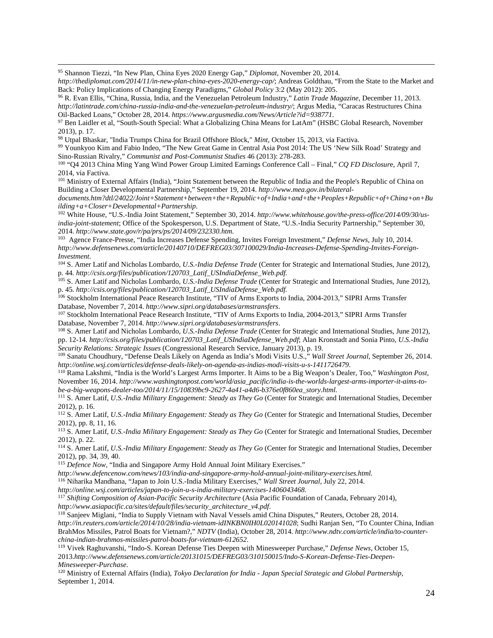<span id="page-23-7"></span><sup>95</sup> Shannon Tiezzi, "In New Plan, China Eyes 2020 Energy Gap," *Diplomat*, November 20, 2014.

 $\overline{\phantom{a}}$ 

*http://thediplomat.com/2014/11/in-new-plan-china-eyes-2020-energy-cap/*; Andreas Goldthau, "From the State to the Market and Back: Policy Implications of Changing Energy Paradigms," *Global Policy* 3:2 (May 2012): 205.

<span id="page-23-11"></span><sup>99</sup> Younkyoo Kim and Fabio Indeo, "The New Great Game in Central Asia Post 2014: The US 'New Silk Road' Strategy and Sino-Russian Rivalry," *Communist and Post-Communist Studies* 46 (2013): 278-283.

<span id="page-23-12"></span><sup>100</sup> "Q4 2013 China Ming Yang Wind Power Group Limited Earnings Conference Call – Final," *CQ FD Disclosur*e, April 7, 2014, via Factiva.

<span id="page-23-13"></span><sup>101</sup> Ministry of External Affairs (India), "Joint Statement between the Republic of India and the People's Republic of China on Building a Closer Developmental Partnership," September 19, 2014. *http://www.mea.gov.in/bilateral-*

<span id="page-23-14"></span>*documents.htm?dtl/24022/Joint+Statement+between+the+Republic+of+India+and+the+Peoples+Republic+of+China+on+Bu ilding+a+Closer+Developmental+Partnership*.

<span id="page-23-15"></span><sup>102</sup> White House, "U.S.-India Joint Statement*,*" September 30, 2014. *[http://www.whitehouse.gov/the-press-office/2014/09/30/us](http://www.whitehouse.gov/the-press-office/2014/09/30/us-india-joint-statement)[india-joint-statement](http://www.whitehouse.gov/the-press-office/2014/09/30/us-india-joint-statement)*; Office of the Spokesperson, U.S. Department of State, "U.S.-India Security Partnership," September 30, 2014. *http://www.state.gov/r/pa/prs/ps/2014/09/232330.htm*.

<span id="page-23-16"></span>103 Agence France-Presse, "India Increases Defense Spending, Invites Foreign Investment," *Defense News*, July 10, 2014. *http://www.defensenews.com/article/20140710/DEFREG03/307100029/India-Increases-Defense-Spending-Invites-Foreign-Investment*.

<sup>104</sup> S. Amer Latif and Nicholas Lombardo, *U.S.-India Defense Trade* (Center for Strategic and International Studies, June 2012), p. 44*[. http://csis.org/files/publication/120703\\_Latif\\_USIndiaDefense\\_Web.pdf.](http://csis.org/files/publication/120703_Latif_USIndiaDefense_Web.pdf)*

<sup>105</sup> S. Amer Latif and Nicholas Lombardo, *U.S.-India Defense Trade* (Center for Strategic and International Studies, June 2012), p. 45*[. http://csis.org/files/publication/120703\\_Latif\\_USIndiaDefense\\_Web.pdf.](http://csis.org/files/publication/120703_Latif_USIndiaDefense_Web.pdf)*

<sup>106</sup> Stockholm International Peace Research Institute, "TIV of Arms Exports to India, 2004-2013," SIPRI Arms Transfer Database, November 7, 2014. *http://www.sipri.org/databases/armstransfers*.

<sup>107</sup> Stockholm International Peace Research Institute, "TIV of Arms Exports to India, 2004-2013," SIPRI Arms Transfer Database, November 7, 2014. *http://www.sipri.org/databases/armstransfers*.

<sup>108</sup> S. Amer Latif and Nicholas Lombardo, *U.S.-India Defense Trade* (Center for Strategic and International Studies, June 2012), pp. 12-14*. [http://csis.org/files/publication/120703\\_Latif\\_USIndiaDefense\\_Web.pdf](http://csis.org/files/publication/120703_Latif_USIndiaDefense_Web.pdf)*; Alan Kronstadt and Sonia Pinto, *U.S.-India* 

<sup>109</sup> Sanatu Choudhury, "Defense Deals Likely on Agenda as India's Modi Visits U.S.," Wall Street Journal, September 26, 2014. *http://online.wsj.com/articles/defense-deals-likely-on-agenda-as-indias-modi-visits-u-s-1411726479*.

<sup>110</sup> Rama Lakshmi, "India is the World's Largest Arms Importer. It Aims to be a Big Weapon's Dealer, Too," *Washington Post*, November 16, 2014. *http://www.washingtonpost.com/world/asia\_pacific/india-is-the-worlds-largest-arms-importer-it-aims-tobe-a-big-weapons-dealer-too/2014/11/15/10839bc9-2627-4a41-a4d6-b376e0f860ea\_story.html*.

<span id="page-23-0"></span><sup>111</sup> S. Amer Latif, *U.S.-India Military Engagement: Steady as They Go* (Center for Strategic and International Studies, December 2012), p. 16.

<span id="page-23-1"></span><sup>112</sup> S. Amer Latif, *U.S.-India Military Engagement: Steady as They Go* (Center for Strategic and International Studies, December 2012), pp. 8, 11, 16.

<sup>113</sup> S. Amer Latif, *U.S.-India Military Engagement: Steady as They Go* (Center for Strategic and International Studies, December 2012), p. 22.

<sup>114</sup> S. Amer Latif, *U.S.-India Military Engagement: Steady as They Go* (Center for Strategic and International Studies, December 2012), pp. 34, 39, 40.

<sup>115</sup> Defence Now, "India and Singapore Army Hold Annual Joint Military Exercises."

<span id="page-23-2"></span>*[http://www.defencenow.com/news/103/india-and-singapore-army-hold-annual-joint-military-exercises.html.](http://www.defencenow.com/news/103/india-and-singapore-army-hold-annual-joint-military-exercises.html)*

<sup>116</sup> Niharika Mandhana, "Japan to Join U.S.-India Military Exercises," *Wall Street Journal*, July 22, 2014.

<span id="page-23-3"></span>*[http://online.wsj.com/articles/japan-to-join-u-s-india-military-exercises-1406043468.](http://online.wsj.com/articles/japan-to-join-u-s-india-military-exercises-1406043468)*

<sup>117</sup> *Shifting Composition of Asian-Pacific Security Architecture* (Asia Pacific Foundation of Canada, February 2014), *http://www.asiapacific.ca/sites/default/files/security architecture*  $v4.pdf$ .

<sup>118</sup> Sanjeev Miglani, "India to Supply Vietnam with Naval Vessels amid China Disputes," Reuters, October 28, 2014[.](http://www.asiapacific.ca/sites/default/files/security_architecture_v4.pdf)

<span id="page-23-4"></span>*http://in.reuters.com/article/2014/10/28/india-vietnam-idINKBN0IH0L020141028*; Sudhi Ranjan Sen, "To Counter China, Indian BrahMos Missiles, Patrol Boats for Vietnam?," *NDTV* (India), October 28, 2014. *http://www.ndtv.com/article/india/to-counterchina-indian-brahmos-missiles-patrol-boats-for-vietnam-612652*.

<span id="page-23-5"></span><sup>119</sup> Vivek Raghuvanshi, "Indo-S. Korean Defense Ties Deepen with Minesweeper Purchase," *Defense News*, October 15, 2013.*[http://www.defensenews.com/article/20131015/DEFREG03/310150015/Indo-S-Korean-Defense-Ties-Deepen-](http://www.defensenews.com/article/20131015/DEFREG03/310150015/Indo-S-Korean-Defense-Ties-Deepen-Minesweeper-Purchase)[Minesweeper-Purchase](http://www.defensenews.com/article/20131015/DEFREG03/310150015/Indo-S-Korean-Defense-Ties-Deepen-Minesweeper-Purchase)*.

<span id="page-23-6"></span><sup>120</sup> Ministry of External Affairs (India), *Tokyo Declaration for India - Japan Special Strategic and Global Partnership*, September 1, 2014.

<span id="page-23-8"></span><sup>96</sup> R. Evan Ellis, "China, Russia, India, and the Venezuelan Petroleum Industry," *Latin Trade Magazine*, December 11, 2013. *http://latintrade.com/china-russia-india-and-the-venezuelan-petroleum-industry/*; Argus Media, "Caracas Restructures China Oil-Backed Loans," October 28, 2014. *https://www.argusmedia.com/News/Article?id=938771*.

<span id="page-23-10"></span><span id="page-23-9"></span><sup>97</sup> Ben Laidler et al, "South-South Special: What a Globalizing China Means for LatAm" (HSBC Global Research, November 2013), p. 17.

<sup>98</sup> Utpal Bhaskar, "India Trumps China for Brazil Offshore Block," *Mint*, October 15, 2013, via Factiva.